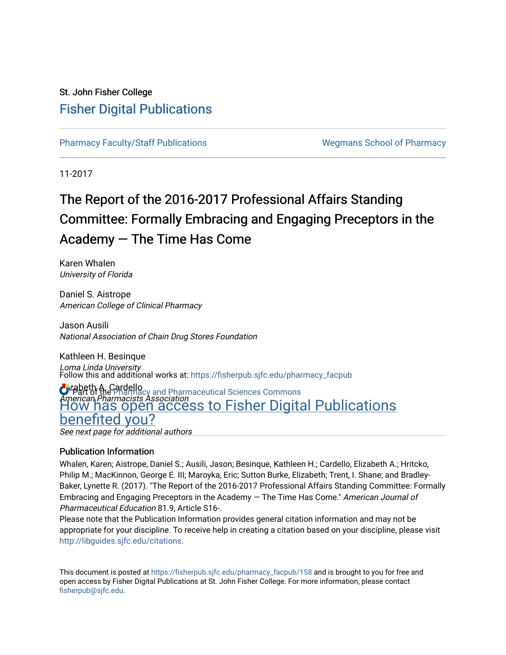### St. John Fisher College [Fisher Digital Publications](https://fisherpub.sjfc.edu/)

[Pharmacy Faculty/Staff Publications](https://fisherpub.sjfc.edu/pharmacy_facpub) **Wegmans School of Pharmacy** 

11-2017

# The Report of the 2016-2017 Professional Affairs Standing Committee: Formally Embracing and Engaging Preceptors in the Academy — The Time Has Come

Karen Whalen University of Florida

Daniel S. Aistrope American College of Clinical Pharmacy

Jason Ausili National Association of Chain Drug Stores Foundation

Kathleen H. Besinque Loma Linda University Follow this and additional works at: [https://fisherpub.sjfc.edu/pharmacy\\_facpub](https://fisherpub.sjfc.edu/pharmacy_facpub?utm_source=fisherpub.sjfc.edu%2Fpharmacy_facpub%2F158&utm_medium=PDF&utm_campaign=PDFCoverPages)

Elizabeth A. Cardello **C** Part of the [Pharmacy and Pharmaceutical Sciences Commons](http://network.bepress.com/hgg/discipline/731?utm_source=fisherpub.sjfc.edu%2Fpharmacy_facpub%2F158&utm_medium=PDF&utm_campaign=PDFCoverPages)<br>American Pharmacists Association [How has open access to Fisher Digital Publications](https://docs.google.com/forms/d/14zrnDfH9d1wcdq8oG_-gFabAsxfcH5claltx85ZWyTg/viewform?entry.1394608989=https://fisherpub.sjfc.edu/pharmacy_facpub/158%3Chttps://docs.google.com/forms/d/14zrnDfH9d1wcdq8oG_-gFabAsxfcH5claltx85ZWyTg/viewform?entry.1394608989=%7bhttps://fisherpub.sjfc.edu/pharmacy_facpub/158%7d) [benefited you?](https://docs.google.com/forms/d/14zrnDfH9d1wcdq8oG_-gFabAsxfcH5claltx85ZWyTg/viewform?entry.1394608989=https://fisherpub.sjfc.edu/pharmacy_facpub/158%3Chttps://docs.google.com/forms/d/14zrnDfH9d1wcdq8oG_-gFabAsxfcH5claltx85ZWyTg/viewform?entry.1394608989=%7bhttps://fisherpub.sjfc.edu/pharmacy_facpub/158%7d)

See next page for additional authors

### Publication Information

Whalen, Karen; Aistrope, Daniel S.; Ausili, Jason; Besinque, Kathleen H.; Cardello, Elizabeth A.; Hritcko, Philip M.; MacKinnon, George E. III; Maroyka, Eric; Sutton Burke, Elizabeth; Trent, I. Shane; and Bradley-Baker, Lynette R. (2017). "The Report of the 2016-2017 Professional Affairs Standing Committee: Formally Embracing and Engaging Preceptors in the Academy — The Time Has Come." American Journal of Pharmaceutical Education 81.9, Article S16-.

Please note that the Publication Information provides general citation information and may not be appropriate for your discipline. To receive help in creating a citation based on your discipline, please visit [http://libguides.sjfc.edu/citations.](http://libguides.sjfc.edu/citations)

This document is posted at [https://fisherpub.sjfc.edu/pharmacy\\_facpub/158](https://fisherpub.sjfc.edu/pharmacy_facpub/158) and is brought to you for free and open access by Fisher Digital Publications at St. John Fisher College. For more information, please contact [fisherpub@sjfc.edu](mailto:fisherpub@sjfc.edu).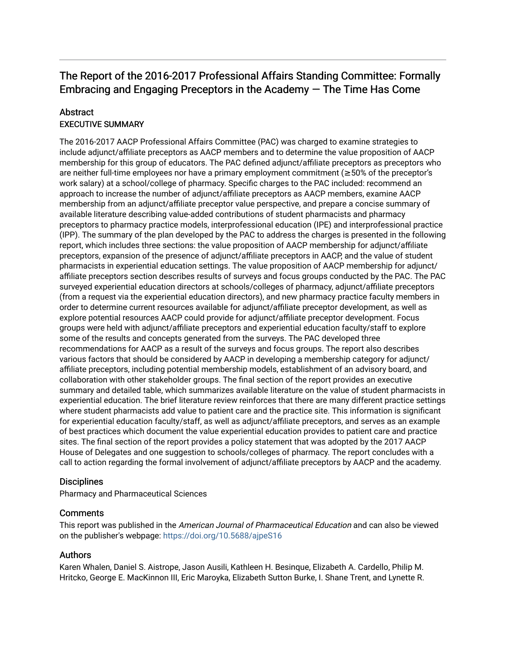### The Report of the 2016-2017 Professional Affairs Standing Committee: Formally Embracing and Engaging Preceptors in the Academy — The Time Has Come

### **Abstract** EXECUTIVE SUMMARY

The 2016-2017 AACP Professional Affairs Committee (PAC) was charged to examine strategies to include adjunct/affiliate preceptors as AACP members and to determine the value proposition of AACP membership for this group of educators. The PAC defined adjunct/affiliate preceptors as preceptors who are neither full-time employees nor have a primary employment commitment (≥50% of the preceptor's work salary) at a school/college of pharmacy. Specific charges to the PAC included: recommend an approach to increase the number of adjunct/affiliate preceptors as AACP members, examine AACP membership from an adjunct/affiliate preceptor value perspective, and prepare a concise summary of available literature describing value-added contributions of student pharmacists and pharmacy preceptors to pharmacy practice models, interprofessional education (IPE) and interprofessional practice (IPP). The summary of the plan developed by the PAC to address the charges is presented in the following report, which includes three sections: the value proposition of AACP membership for adjunct/affiliate preceptors, expansion of the presence of adjunct/affiliate preceptors in AACP, and the value of student pharmacists in experiential education settings. The value proposition of AACP membership for adjunct/ affiliate preceptors section describes results of surveys and focus groups conducted by the PAC. The PAC surveyed experiential education directors at schools/colleges of pharmacy, adjunct/affiliate preceptors (from a request via the experiential education directors), and new pharmacy practice faculty members in order to determine current resources available for adjunct/affiliate preceptor development, as well as explore potential resources AACP could provide for adjunct/affiliate preceptor development. Focus groups were held with adjunct/affiliate preceptors and experiential education faculty/staff to explore some of the results and concepts generated from the surveys. The PAC developed three recommendations for AACP as a result of the surveys and focus groups. The report also describes various factors that should be considered by AACP in developing a membership category for adjunct/ affiliate preceptors, including potential membership models, establishment of an advisory board, and collaboration with other stakeholder groups. The final section of the report provides an executive summary and detailed table, which summarizes available literature on the value of student pharmacists in experiential education. The brief literature review reinforces that there are many different practice settings where student pharmacists add value to patient care and the practice site. This information is significant for experiential education faculty/staff, as well as adjunct/affiliate preceptors, and serves as an example of best practices which document the value experiential education provides to patient care and practice sites. The final section of the report provides a policy statement that was adopted by the 2017 AACP House of Delegates and one suggestion to schools/colleges of pharmacy. The report concludes with a call to action regarding the formal involvement of adjunct/affiliate preceptors by AACP and the academy.

### **Disciplines**

Pharmacy and Pharmaceutical Sciences

### **Comments**

This report was published in the American Journal of Pharmaceutical Education and can also be viewed on the publisher's webpage: <https://doi.org/10.5688/ajpeS16>

### Authors

Karen Whalen, Daniel S. Aistrope, Jason Ausili, Kathleen H. Besinque, Elizabeth A. Cardello, Philip M. Hritcko, George E. MacKinnon III, Eric Maroyka, Elizabeth Sutton Burke, I. Shane Trent, and Lynette R.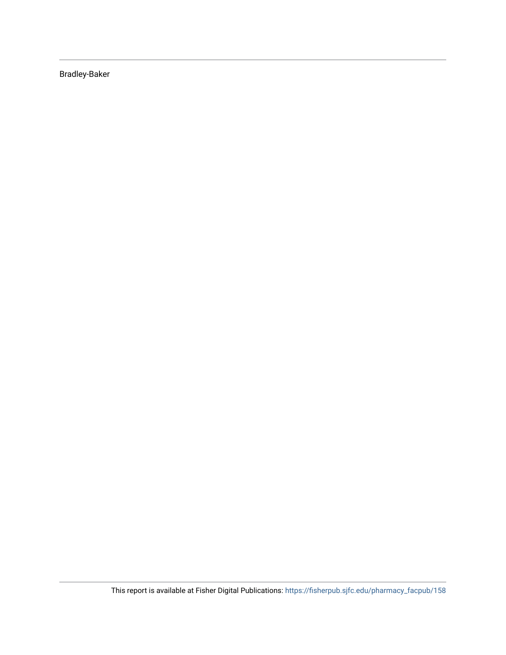Bradley-Baker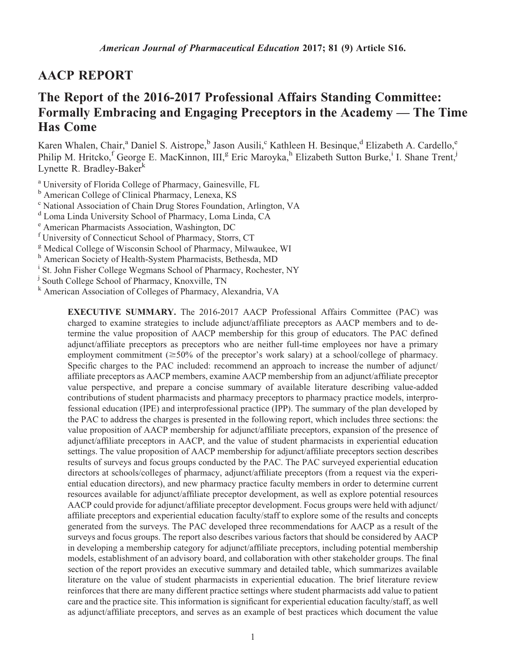### AACP REPORT

### The Report of the 2016-2017 Professional Affairs Standing Committee: Formally Embracing and Engaging Preceptors in the Academy — The Time Has Come

Karen Whalen, Chair,<sup>a</sup> Daniel S. Aistrope,<sup>b</sup> Jason Ausili,<sup>c</sup> Kathleen H. Besinque,<sup>d</sup> Elizabeth A. Cardello,<sup>e</sup> Philip M. Hritcko,<sup>f</sup> George E. MacKinnon, III,<sup>g</sup> Eric Maroyka,<sup>h</sup> Elizabeth Sutton Burke,<sup>i</sup> I. Shane Trent,<sup>j</sup> Lynette R. Bradley-Baker $k$ 

- <sup>a</sup> University of Florida College of Pharmacy, Gainesville, FL
- <sup>b</sup> American College of Clinical Pharmacy, Lenexa, KS

<sup>c</sup> National Association of Chain Drug Stores Foundation, Arlington, VA

- <sup>d</sup> Loma Linda University School of Pharmacy, Loma Linda, CA
- <sup>e</sup> American Pharmacists Association, Washington, DC
- <sup>f</sup> University of Connecticut School of Pharmacy, Storrs, CT
- <sup>g</sup> Medical College of Wisconsin School of Pharmacy, Milwaukee, WI
- <sup>h</sup> American Society of Health-System Pharmacists, Bethesda, MD
- <sup>i</sup> St. John Fisher College Wegmans School of Pharmacy, Rochester, NY
- <sup>j</sup> South College School of Pharmacy, Knoxville, TN
- <sup>k</sup> American Association of Colleges of Pharmacy, Alexandria, VA

EXECUTIVE SUMMARY. The 2016-2017 AACP Professional Affairs Committee (PAC) was charged to examine strategies to include adjunct/affiliate preceptors as AACP members and to determine the value proposition of AACP membership for this group of educators. The PAC defined adjunct/affiliate preceptors as preceptors who are neither full-time employees nor have a primary employment commitment  $(\geq 50\%$  of the preceptor's work salary) at a school/college of pharmacy. Specific charges to the PAC included: recommend an approach to increase the number of adjunct/ affiliate preceptors as AACP members, examine AACP membership from an adjunct/affiliate preceptor value perspective, and prepare a concise summary of available literature describing value-added contributions of student pharmacists and pharmacy preceptors to pharmacy practice models, interprofessional education (IPE) and interprofessional practice (IPP). The summary of the plan developed by the PAC to address the charges is presented in the following report, which includes three sections: the value proposition of AACP membership for adjunct/affiliate preceptors, expansion of the presence of adjunct/affiliate preceptors in AACP, and the value of student pharmacists in experiential education settings. The value proposition of AACP membership for adjunct/affiliate preceptors section describes results of surveys and focus groups conducted by the PAC. The PAC surveyed experiential education directors at schools/colleges of pharmacy, adjunct/affiliate preceptors (from a request via the experiential education directors), and new pharmacy practice faculty members in order to determine current resources available for adjunct/affiliate preceptor development, as well as explore potential resources AACP could provide for adjunct/affiliate preceptor development. Focus groups were held with adjunct/ affiliate preceptors and experiential education faculty/staff to explore some of the results and concepts generated from the surveys. The PAC developed three recommendations for AACP as a result of the surveys and focus groups. The report also describes various factors that should be considered by AACP in developing a membership category for adjunct/affiliate preceptors, including potential membership models, establishment of an advisory board, and collaboration with other stakeholder groups. The final section of the report provides an executive summary and detailed table, which summarizes available literature on the value of student pharmacists in experiential education. The brief literature review reinforces that there are many different practice settings where student pharmacists add value to patient care and the practice site. This information is significant for experiential education faculty/staff, as well as adjunct/affiliate preceptors, and serves as an example of best practices which document the value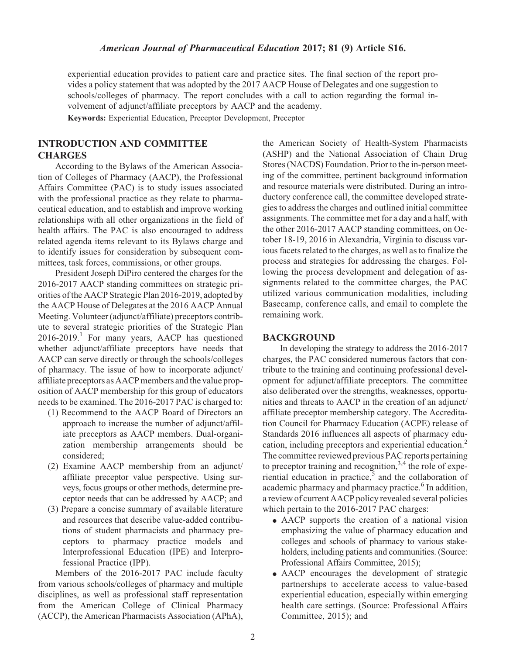experiential education provides to patient care and practice sites. The final section of the report provides a policy statement that was adopted by the 2017 AACP House of Delegates and one suggestion to schools/colleges of pharmacy. The report concludes with a call to action regarding the formal involvement of adjunct/affiliate preceptors by AACP and the academy.

Keywords: Experiential Education, Preceptor Development, Preceptor

### INTRODUCTION AND COMMITTEE **CHARGES**

According to the Bylaws of the American Association of Colleges of Pharmacy (AACP), the Professional Affairs Committee (PAC) is to study issues associated with the professional practice as they relate to pharmaceutical education, and to establish and improve working relationships with all other organizations in the field of health affairs. The PAC is also encouraged to address related agenda items relevant to its Bylaws charge and to identify issues for consideration by subsequent committees, task forces, commissions, or other groups.

President Joseph DiPiro centered the charges for the 2016-2017 AACP standing committees on strategic priorities of the AACP Strategic Plan 2016-2019, adopted by the AACP House of Delegates at the 2016 AACP Annual Meeting. Volunteer (adjunct/affiliate) preceptors contribute to several strategic priorities of the Strategic Plan  $2016-2019$ <sup>1</sup> For many years, AACP has questioned whether adjunct/affiliate preceptors have needs that AACP can serve directly or through the schools/colleges of pharmacy. The issue of how to incorporate adjunct/ affiliate preceptors as AACP members and the value proposition of AACP membership for this group of educators needs to be examined. The 2016-2017 PAC is charged to:

- (1) Recommend to the AACP Board of Directors an approach to increase the number of adjunct/affiliate preceptors as AACP members. Dual-organization membership arrangements should be considered;
- (2) Examine AACP membership from an adjunct/ affiliate preceptor value perspective. Using surveys, focus groups or other methods, determine preceptor needs that can be addressed by AACP; and
- (3) Prepare a concise summary of available literature and resources that describe value-added contributions of student pharmacists and pharmacy preceptors to pharmacy practice models and Interprofessional Education (IPE) and Interprofessional Practice (IPP).

Members of the 2016-2017 PAC include faculty from various schools/colleges of pharmacy and multiple disciplines, as well as professional staff representation from the American College of Clinical Pharmacy (ACCP), the American Pharmacists Association (APhA),

the American Society of Health-System Pharmacists (ASHP) and the National Association of Chain Drug Stores (NACDS) Foundation. Prior to the in-person meeting of the committee, pertinent background information and resource materials were distributed. During an introductory conference call, the committee developed strategies to address the charges and outlined initial committee assignments. The committee met for a day and a half, with the other 2016-2017 AACP standing committees, on October 18-19, 2016 in Alexandria, Virginia to discuss various facets related to the charges, as well as to finalize the process and strategies for addressing the charges. Following the process development and delegation of assignments related to the committee charges, the PAC utilized various communication modalities, including Basecamp, conference calls, and email to complete the remaining work.

#### BACKGROUND

In developing the strategy to address the 2016-2017 charges, the PAC considered numerous factors that contribute to the training and continuing professional development for adjunct/affiliate preceptors. The committee also deliberated over the strengths, weaknesses, opportunities and threats to AACP in the creation of an adjunct/ affiliate preceptor membership category. The Accreditation Council for Pharmacy Education (ACPE) release of Standards 2016 influences all aspects of pharmacy education, including preceptors and experiential education.<sup>2</sup> The committee reviewed previous PAC reports pertaining to preceptor training and recognition,  $3,4$  the role of experiential education in practice, $\frac{5}{3}$  and the collaboration of academic pharmacy and pharmacy practice.<sup>6</sup> In addition, a review of current AACP policy revealed several policies which pertain to the 2016-2017 PAC charges:

- AACP supports the creation of a national vision emphasizing the value of pharmacy education and colleges and schools of pharmacy to various stakeholders, including patients and communities. (Source: Professional Affairs Committee, 2015);
- AACP encourages the development of strategic partnerships to accelerate access to value-based experiential education, especially within emerging health care settings. (Source: Professional Affairs Committee, 2015); and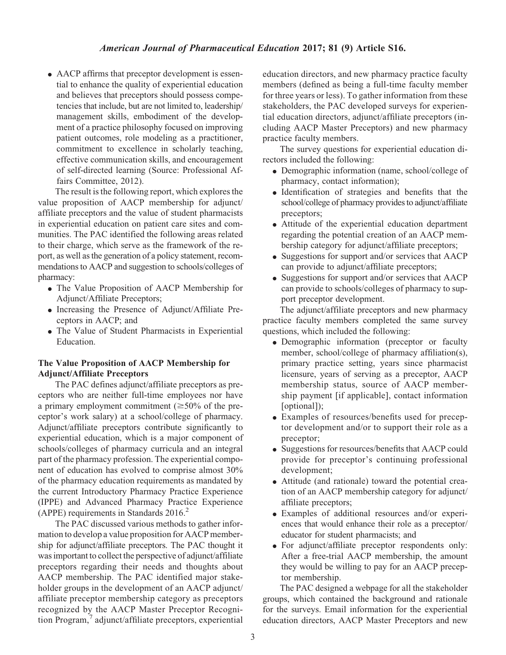• AACP affirms that preceptor development is essential to enhance the quality of experiential education and believes that preceptors should possess competencies that include, but are not limited to, leadership/ management skills, embodiment of the development of a practice philosophy focused on improving patient outcomes, role modeling as a practitioner, commitment to excellence in scholarly teaching, effective communication skills, and encouragement of self-directed learning (Source: Professional Affairs Committee, 2012).

The result is the following report, which explores the value proposition of AACP membership for adjunct/ affiliate preceptors and the value of student pharmacists in experiential education on patient care sites and communities. The PAC identified the following areas related to their charge, which serve as the framework of the report, as well as the generation of a policy statement, recommendations to AACP and suggestion to schools/colleges of pharmacy:

- The Value Proposition of AACP Membership for Adjunct/Affiliate Preceptors;
- <sup>d</sup> Increasing the Presence of Adjunct/Affiliate Preceptors in AACP; and
- The Value of Student Pharmacists in Experiential Education.

#### The Value Proposition of AACP Membership for Adjunct/Affiliate Preceptors

The PAC defines adjunct/affiliate preceptors as preceptors who are neither full-time employees nor have a primary employment commitment  $(\geq 50\%$  of the preceptor's work salary) at a school/college of pharmacy. Adjunct/affiliate preceptors contribute significantly to experiential education, which is a major component of schools/colleges of pharmacy curricula and an integral part of the pharmacy profession. The experiential component of education has evolved to comprise almost 30% of the pharmacy education requirements as mandated by the current Introductory Pharmacy Practice Experience (IPPE) and Advanced Pharmacy Practice Experience (APPE) requirements in Standards  $2016<sup>2</sup>$ 

The PAC discussed various methods to gather information to develop a value proposition for AACP membership for adjunct/affiliate preceptors. The PAC thought it was important to collect the perspective of adjunct/affiliate preceptors regarding their needs and thoughts about AACP membership. The PAC identified major stakeholder groups in the development of an AACP adjunct/ affiliate preceptor membership category as preceptors recognized by the AACP Master Preceptor Recognition Program, $\frac{7}{7}$  adjunct/affiliate preceptors, experiential

education directors, and new pharmacy practice faculty members (defined as being a full-time faculty member for three years or less). To gather information from these stakeholders, the PAC developed surveys for experiential education directors, adjunct/affiliate preceptors (including AACP Master Preceptors) and new pharmacy practice faculty members.

The survey questions for experiential education directors included the following:

- Demographic information (name, school/college of pharmacy, contact information);
- <sup>d</sup> Identification of strategies and benefits that the school/college of pharmacy provides to adjunct/affiliate preceptors;
- Attitude of the experiential education department regarding the potential creation of an AACP membership category for adjunct/affiliate preceptors;
- Suggestions for support and/or services that AACP can provide to adjunct/affiliate preceptors;
- Suggestions for support and/or services that AACP can provide to schools/colleges of pharmacy to support preceptor development.

The adjunct/affiliate preceptors and new pharmacy practice faculty members completed the same survey questions, which included the following:

- Demographic information (preceptor or faculty member, school/college of pharmacy affiliation(s), primary practice setting, years since pharmacist licensure, years of serving as a preceptor, AACP membership status, source of AACP membership payment [if applicable], contact information [optional]);
- Examples of resources/benefits used for preceptor development and/or to support their role as a preceptor;
- Suggestions for resources/benefits that AACP could provide for preceptor's continuing professional development;
- Attitude (and rationale) toward the potential creation of an AACP membership category for adjunct/ affiliate preceptors;
- <sup>d</sup> Examples of additional resources and/or experiences that would enhance their role as a preceptor/ educator for student pharmacists; and
- For adjunct/affiliate preceptor respondents only: After a free-trial AACP membership, the amount they would be willing to pay for an AACP preceptor membership.

The PAC designed a webpage for all the stakeholder groups, which contained the background and rationale for the surveys. Email information for the experiential education directors, AACP Master Preceptors and new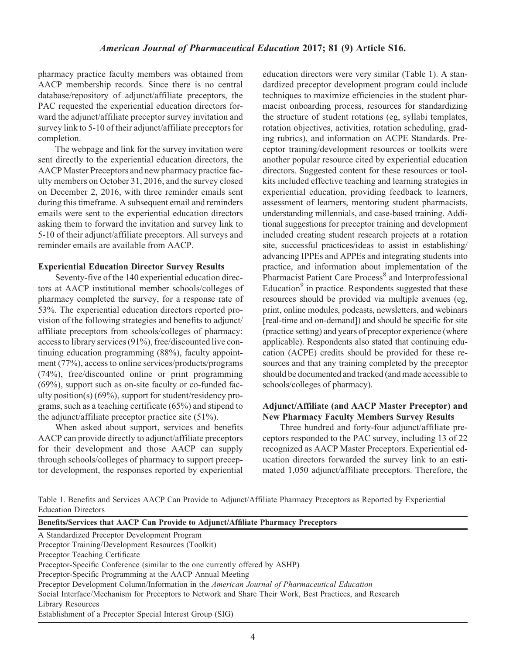pharmacy practice faculty members was obtained from AACP membership records. Since there is no central database/repository of adjunct/affiliate preceptors, the PAC requested the experiential education directors forward the adjunct/affiliate preceptor survey invitation and survey link to 5-10 of their adjunct/affiliate preceptors for completion.

The webpage and link for the survey invitation were sent directly to the experiential education directors, the AACP Master Preceptors and new pharmacy practice faculty members on October 31, 2016, and the survey closed on December 2, 2016, with three reminder emails sent during this timeframe. A subsequent email and reminders emails were sent to the experiential education directors asking them to forward the invitation and survey link to 5-10 of their adjunct/affiliate preceptors. All surveys and reminder emails are available from AACP.

#### Experiential Education Director Survey Results

Seventy-five of the 140 experiential education directors at AACP institutional member schools/colleges of pharmacy completed the survey, for a response rate of 53%. The experiential education directors reported provision of the following strategies and benefits to adjunct/ affiliate preceptors from schools/colleges of pharmacy: access to library services (91%), free/discounted live continuing education programming (88%), faculty appointment (77%), access to online services/products/programs (74%), free/discounted online or print programming (69%), support such as on-site faculty or co-funded faculty position(s) (69%), support for student/residency programs, such as a teaching certificate (65%) and stipend to the adjunct/affiliate preceptor practice site (51%).

When asked about support, services and benefits AACP can provide directly to adjunct/affiliate preceptors for their development and those AACP can supply through schools/colleges of pharmacy to support preceptor development, the responses reported by experiential education directors were very similar (Table 1). A standardized preceptor development program could include techniques to maximize efficiencies in the student pharmacist onboarding process, resources for standardizing the structure of student rotations (eg, syllabi templates, rotation objectives, activities, rotation scheduling, grading rubrics), and information on ACPE Standards. Preceptor training/development resources or toolkits were another popular resource cited by experiential education directors. Suggested content for these resources or toolkits included effective teaching and learning strategies in experiential education, providing feedback to learners, assessment of learners, mentoring student pharmacists, understanding millennials, and case-based training. Additional suggestions for preceptor training and development included creating student research projects at a rotation site, successful practices/ideas to assist in establishing/ advancing IPPEs and APPEs and integrating students into practice, and information about implementation of the Pharmacist Patient Care Process<sup>8</sup> and Interprofessional Education<sup>9</sup> in practice. Respondents suggested that these resources should be provided via multiple avenues (eg, print, online modules, podcasts, newsletters, and webinars [real-time and on-demand]) and should be specific for site (practice setting) and years of preceptor experience (where applicable). Respondents also stated that continuing education (ACPE) credits should be provided for these resources and that any training completed by the preceptor should be documented and tracked (and made accessible to schools/colleges of pharmacy).

#### Adjunct/Affiliate (and AACP Master Preceptor) and New Pharmacy Faculty Members Survey Results

Three hundred and forty-four adjunct/affiliate preceptors responded to the PAC survey, including 13 of 22 recognized as AACP Master Preceptors. Experiential education directors forwarded the survey link to an estimated 1,050 adjunct/affiliate preceptors. Therefore, the

Table 1. Benefits and Services AACP Can Provide to Adjunct/Affiliate Pharmacy Preceptors as Reported by Experiential Education Directors

| <b>Benefits/Services that AACP Can Provide to Adjunct/Affiliate Pharmacy Preceptors</b>                 |  |
|---------------------------------------------------------------------------------------------------------|--|
| A Standardized Preceptor Development Program                                                            |  |
| Preceptor Training/Development Resources (Toolkit)                                                      |  |
| Preceptor Teaching Certificate                                                                          |  |
| Preceptor-Specific Conference (similar to the one currently offered by ASHP)                            |  |
| Preceptor-Specific Programming at the AACP Annual Meeting                                               |  |
| Preceptor Development Column/Information in the American Journal of Pharmaceutical Education            |  |
| Social Interface/Mechanism for Preceptors to Network and Share Their Work, Best Practices, and Research |  |
| Library Resources                                                                                       |  |
| Establishment of a Preceptor Special Interest Group (SIG)                                               |  |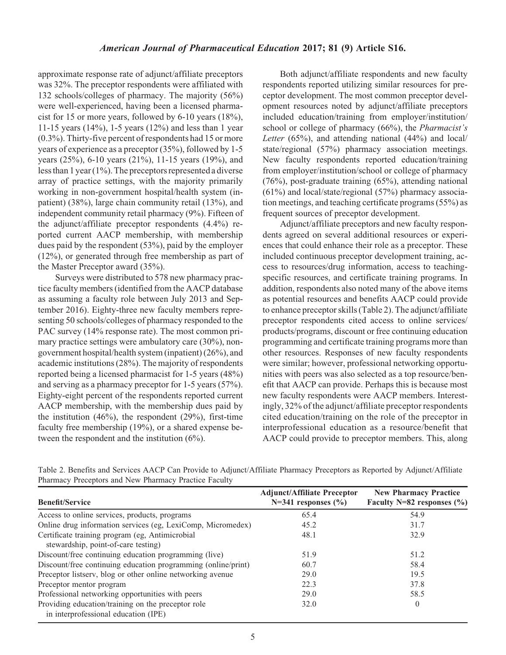approximate response rate of adjunct/affiliate preceptors was 32%. The preceptor respondents were affiliated with 132 schools/colleges of pharmacy. The majority (56%) were well-experienced, having been a licensed pharmacist for 15 or more years, followed by 6-10 years (18%), 11-15 years (14%), 1-5 years (12%) and less than 1 year (0.3%). Thirty-five percent of respondents had 15 or more years of experience as a preceptor (35%), followed by 1-5 years (25%), 6-10 years (21%), 11-15 years (19%), and lessthan 1 year (1%). The preceptors represented a diverse array of practice settings, with the majority primarily working in non-government hospital/health system (inpatient) (38%), large chain community retail (13%), and independent community retail pharmacy (9%). Fifteen of the adjunct/affiliate preceptor respondents (4.4%) reported current AACP membership, with membership dues paid by the respondent (53%), paid by the employer (12%), or generated through free membership as part of the Master Preceptor award (35%).

Surveys were distributed to 578 new pharmacy practice faculty members (identified from the AACP database as assuming a faculty role between July 2013 and September 2016). Eighty-three new faculty members representing 50 schools/colleges of pharmacy responded to the PAC survey (14% response rate). The most common primary practice settings were ambulatory care (30%), nongovernment hospital/health system (inpatient) (26%), and academic institutions (28%). The majority of respondents reported being a licensed pharmacist for 1-5 years (48%) and serving as a pharmacy preceptor for 1-5 years (57%). Eighty-eight percent of the respondents reported current AACP membership, with the membership dues paid by the institution  $(46%)$ , the respondent  $(29%)$ , first-time faculty free membership (19%), or a shared expense between the respondent and the institution (6%).

Both adjunct/affiliate respondents and new faculty respondents reported utilizing similar resources for preceptor development. The most common preceptor development resources noted by adjunct/affiliate preceptors included education/training from employer/institution/ school or college of pharmacy (66%), the *Pharmacist's* Letter (65%), and attending national (44%) and local/ state/regional (57%) pharmacy association meetings. New faculty respondents reported education/training from employer/institution/school or college of pharmacy (76%), post-graduate training (65%), attending national (61%) and local/state/regional (57%) pharmacy association meetings, and teaching certificate programs (55%) as frequent sources of preceptor development.

Adjunct/affiliate preceptors and new faculty respondents agreed on several additional resources or experiences that could enhance their role as a preceptor. These included continuous preceptor development training, access to resources/drug information, access to teachingspecific resources, and certificate training programs. In addition, respondents also noted many of the above items as potential resources and benefits AACP could provide to enhance preceptor skills (Table 2). The adjunct/affiliate preceptor respondents cited access to online services/ products/programs, discount or free continuing education programming and certificate training programs more than other resources. Responses of new faculty respondents were similar; however, professional networking opportunities with peers was also selected as a top resource/benefit that AACP can provide. Perhaps this is because most new faculty respondents were AACP members. Interestingly, 32% of the adjunct/affiliate preceptor respondents cited education/training on the role of the preceptor in interprofessional education as a resource/benefit that AACP could provide to preceptor members. This, along

| <b>Benefit/Service</b>                                                                     | <b>Adjunct/Affiliate Preceptor</b><br>$N=341$ responses $(\% )$ | <b>New Pharmacy Practice</b><br>Faculty $N=82$ responses $(\% )$ |
|--------------------------------------------------------------------------------------------|-----------------------------------------------------------------|------------------------------------------------------------------|
|                                                                                            |                                                                 |                                                                  |
| Access to online services, products, programs                                              | 65.4                                                            | 54.9                                                             |
| Online drug information services (eg, LexiComp, Micromedex)                                | 45.2                                                            | 31.7                                                             |
| Certificate training program (eg, Antimicrobial<br>stewardship, point-of-care testing)     | 48.1                                                            | 32.9                                                             |
| Discount/free continuing education programming (live)                                      | 51.9                                                            | 51.2                                                             |
| Discount/free continuing education programming (online/print)                              | 60.7                                                            | 58.4                                                             |
| Preceptor listserv, blog or other online networking avenue                                 | 29.0                                                            | 19.5                                                             |
| Preceptor mentor program                                                                   | 22.3                                                            | 37.8                                                             |
| Professional networking opportunities with peers                                           | 29.0                                                            | 58.5                                                             |
| Providing education/training on the preceptor role<br>in interprofessional education (IPE) | 32.0                                                            | $\theta$                                                         |

Table 2. Benefits and Services AACP Can Provide to Adjunct/Affiliate Pharmacy Preceptors as Reported by Adjunct/Affiliate Pharmacy Preceptors and New Pharmacy Practice Faculty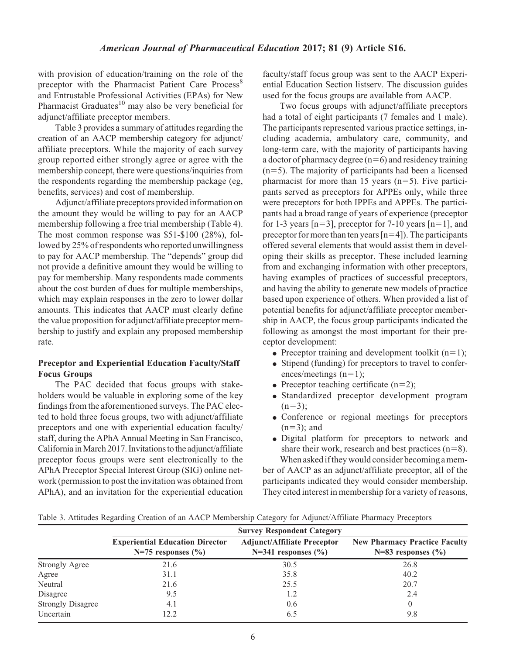with provision of education/training on the role of the preceptor with the Pharmacist Patient Care Process<sup>8</sup> and Entrustable Professional Activities (EPAs) for New Pharmacist Graduates $10$  may also be very beneficial for adjunct/affiliate preceptor members.

Table 3 provides a summary of attitudes regarding the creation of an AACP membership category for adjunct/ affiliate preceptors. While the majority of each survey group reported either strongly agree or agree with the membership concept, there were questions/inquiries from the respondents regarding the membership package (eg, benefits, services) and cost of membership.

Adjunct/affiliate preceptors provided information on the amount they would be willing to pay for an AACP membership following a free trial membership (Table 4). The most common response was \$51-\$100 (28%), followed by 25% of respondents who reported unwillingness to pay for AACP membership. The "depends" group did not provide a definitive amount they would be willing to pay for membership. Many respondents made comments about the cost burden of dues for multiple memberships, which may explain responses in the zero to lower dollar amounts. This indicates that AACP must clearly define the value proposition for adjunct/affiliate preceptor membership to justify and explain any proposed membership rate.

#### Preceptor and Experiential Education Faculty/Staff Focus Groups

The PAC decided that focus groups with stakeholders would be valuable in exploring some of the key findings from the aforementioned surveys. The PAC elected to hold three focus groups, two with adjunct/affiliate preceptors and one with experiential education faculty/ staff, during the APhA Annual Meeting in San Francisco, California in March 2017. Invitations to the adjunct/affiliate preceptor focus groups were sent electronically to the APhA Preceptor Special Interest Group (SIG) online network (permission to post the invitation was obtained from APhA), and an invitation for the experiential education

faculty/staff focus group was sent to the AACP Experiential Education Section listserv. The discussion guides used for the focus groups are available from AACP.

Two focus groups with adjunct/affiliate preceptors had a total of eight participants (7 females and 1 male). The participants represented various practice settings, including academia, ambulatory care, community, and long-term care, with the majority of participants having a doctor of pharmacy degree  $(n=6)$  and residency training  $(n=5)$ . The majority of participants had been a licensed pharmacist for more than 15 years  $(n=5)$ . Five participants served as preceptors for APPEs only, while three were preceptors for both IPPEs and APPEs. The participants had a broad range of years of experience (preceptor for 1-3 years  $[n=3]$ , preceptor for 7-10 years  $[n=1]$ , and preceptor for more than ten years  $[n=4]$ ). The participants offered several elements that would assist them in developing their skills as preceptor. These included learning from and exchanging information with other preceptors, having examples of practices of successful preceptors, and having the ability to generate new models of practice based upon experience of others. When provided a list of potential benefits for adjunct/affiliate preceptor membership in AACP, the focus group participants indicated the following as amongst the most important for their preceptor development:

- Preceptor training and development toolkit  $(n=1)$ ;
- Stipend (funding) for preceptors to travel to conferences/meetings  $(n=1)$ ;
- Preceptor teaching certificate  $(n=2)$ ;
- <sup>d</sup> Standardized preceptor development program  $(n=3)$ ;
- Conference or regional meetings for preceptors  $(n=3)$ ; and
- Digital platform for preceptors to network and share their work, research and best practices  $(n=8)$ . When asked if they would consider becoming a mem-

ber of AACP as an adjunct/affiliate preceptor, all of the participants indicated they would consider membership. They cited interest in membership for a variety of reasons,

Table 3. Attitudes Regarding Creation of an AACP Membership Category for Adjunct/Affiliate Pharmacy Preceptors

|                          |                                                                    | <b>Survey Respondent Category</b>                               |                                                                  |
|--------------------------|--------------------------------------------------------------------|-----------------------------------------------------------------|------------------------------------------------------------------|
|                          | <b>Experiential Education Director</b><br>$N=75$ responses $(\% )$ | <b>Adjunct/Affiliate Preceptor</b><br>$N=341$ responses $(\% )$ | <b>New Pharmacy Practice Faculty</b><br>$N=83$ responses $(\% )$ |
| <b>Strongly Agree</b>    | 21.6                                                               | 30.5                                                            | 26.8                                                             |
| Agree                    | 31.1                                                               | 35.8                                                            | 40.2                                                             |
| Neutral                  | 21.6                                                               | 25.5                                                            | 20.7                                                             |
| Disagree                 | 9.5                                                                | 1.2                                                             | 2.4                                                              |
| <b>Strongly Disagree</b> | 4.1                                                                | 0.6                                                             | $\Omega$                                                         |
| Uncertain                | 12.2                                                               | 6.5                                                             | 9.8                                                              |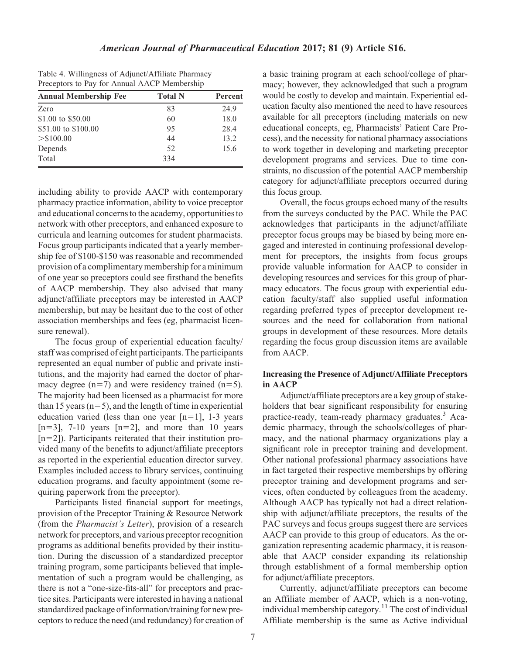Table 4. Willingness of Adjunct/Affiliate Pharmacy Preceptors to Pay for Annual AACP Membership

| <b>Annual Membership Fee</b> | <b>Total N</b> | Percent |
|------------------------------|----------------|---------|
| Zero                         | 83             | 24.9    |
| \$1.00 to \$50.00            | 60             | 18.0    |
| \$51.00 to \$100.00          | 95             | 28.4    |
| $>$ \$100.00                 | 44             | 13.2    |
| Depends                      | 52             | 15.6    |
| Total                        | 334            |         |

including ability to provide AACP with contemporary pharmacy practice information, ability to voice preceptor and educational concerns to the academy, opportunities to network with other preceptors, and enhanced exposure to curricula and learning outcomes for student pharmacists. Focus group participants indicated that a yearly membership fee of \$100-\$150 was reasonable and recommended provision of a complimentary membership for a minimum of one year so preceptors could see firsthand the benefits of AACP membership. They also advised that many adjunct/affiliate preceptors may be interested in AACP membership, but may be hesitant due to the cost of other association memberships and fees (eg, pharmacist licensure renewal).

The focus group of experiential education faculty/ staff was comprised of eight participants. The participants represented an equal number of public and private institutions, and the majority had earned the doctor of pharmacy degree  $(n=7)$  and were residency trained  $(n=5)$ . The majority had been licensed as a pharmacist for more than 15 years ( $n=5$ ), and the length of time in experiential education varied (less than one year  $[n=1]$ , 1-3 years  $[n=3]$ , 7-10 years  $[n=2]$ , and more than 10 years  $[n=2]$ ). Participants reiterated that their institution provided many of the benefits to adjunct/affiliate preceptors as reported in the experiential education director survey. Examples included access to library services, continuing education programs, and faculty appointment (some requiring paperwork from the preceptor).

Participants listed financial support for meetings, provision of the Preceptor Training & Resource Network (from the Pharmacist's Letter), provision of a research network for preceptors, and various preceptor recognition programs as additional benefits provided by their institution. During the discussion of a standardized preceptor training program, some participants believed that implementation of such a program would be challenging, as there is not a "one-size-fits-all" for preceptors and practice sites. Participants were interested in having a national standardized package of information/training for new preceptors to reduce the need (and redundancy) for creation of a basic training program at each school/college of pharmacy; however, they acknowledged that such a program would be costly to develop and maintain. Experiential education faculty also mentioned the need to have resources available for all preceptors (including materials on new educational concepts, eg, Pharmacists' Patient Care Process), and the necessity for national pharmacy associations to work together in developing and marketing preceptor development programs and services. Due to time constraints, no discussion of the potential AACP membership category for adjunct/affiliate preceptors occurred during this focus group.

Overall, the focus groups echoed many of the results from the surveys conducted by the PAC. While the PAC acknowledges that participants in the adjunct/affiliate preceptor focus groups may be biased by being more engaged and interested in continuing professional development for preceptors, the insights from focus groups provide valuable information for AACP to consider in developing resources and services for this group of pharmacy educators. The focus group with experiential education faculty/staff also supplied useful information regarding preferred types of preceptor development resources and the need for collaboration from national groups in development of these resources. More details regarding the focus group discussion items are available from AACP.

#### Increasing the Presence of Adjunct/Affiliate Preceptors in AACP

Adjunct/affiliate preceptors are a key group of stakeholders that bear significant responsibility for ensuring practice-ready, team-ready pharmacy graduates.<sup>3</sup> Academic pharmacy, through the schools/colleges of pharmacy, and the national pharmacy organizations play a significant role in preceptor training and development. Other national professional pharmacy associations have in fact targeted their respective memberships by offering preceptor training and development programs and services, often conducted by colleagues from the academy. Although AACP has typically not had a direct relationship with adjunct/affiliate preceptors, the results of the PAC surveys and focus groups suggest there are services AACP can provide to this group of educators. As the organization representing academic pharmacy, it is reasonable that AACP consider expanding its relationship through establishment of a formal membership option for adjunct/affiliate preceptors.

Currently, adjunct/affiliate preceptors can become an Affiliate member of AACP, which is a non-voting, individual membership category.<sup>11</sup> The cost of individual Affiliate membership is the same as Active individual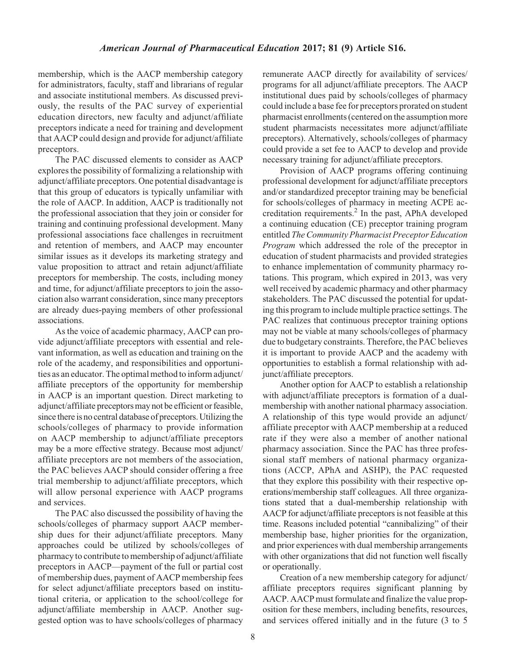membership, which is the AACP membership category for administrators, faculty, staff and librarians of regular and associate institutional members. As discussed previously, the results of the PAC survey of experiential education directors, new faculty and adjunct/affiliate preceptors indicate a need for training and development that AACP could design and provide for adjunct/affiliate preceptors.

The PAC discussed elements to consider as AACP explores the possibility of formalizing a relationship with adjunct/affiliate preceptors. One potential disadvantage is that this group of educators is typically unfamiliar with the role of AACP. In addition, AACP is traditionally not the professional association that they join or consider for training and continuing professional development. Many professional associations face challenges in recruitment and retention of members, and AACP may encounter similar issues as it develops its marketing strategy and value proposition to attract and retain adjunct/affiliate preceptors for membership. The costs, including money and time, for adjunct/affiliate preceptors to join the association also warrant consideration, since many preceptors are already dues-paying members of other professional associations.

As the voice of academic pharmacy, AACP can provide adjunct/affiliate preceptors with essential and relevant information, as well as education and training on the role of the academy, and responsibilities and opportunities as an educator. The optimal method to inform adjunct/ affiliate preceptors of the opportunity for membership in AACP is an important question. Direct marketing to adjunct/affiliate preceptors may not be efficient or feasible, since there is no central database of preceptors. Utilizing the schools/colleges of pharmacy to provide information on AACP membership to adjunct/affiliate preceptors may be a more effective strategy. Because most adjunct/ affiliate preceptors are not members of the association, the PAC believes AACP should consider offering a free trial membership to adjunct/affiliate preceptors, which will allow personal experience with AACP programs and services.

The PAC also discussed the possibility of having the schools/colleges of pharmacy support AACP membership dues for their adjunct/affiliate preceptors. Many approaches could be utilized by schools/colleges of pharmacy to contribute to membership of adjunct/affiliate preceptors in AACP—payment of the full or partial cost of membership dues, payment of AACP membership fees for select adjunct/affiliate preceptors based on institutional criteria, or application to the school/college for adjunct/affiliate membership in AACP. Another suggested option was to have schools/colleges of pharmacy

remunerate AACP directly for availability of services/ programs for all adjunct/affiliate preceptors. The AACP institutional dues paid by schools/colleges of pharmacy could include a base fee for preceptors prorated on student pharmacist enrollments (centered on the assumption more student pharmacists necessitates more adjunct/affiliate preceptors). Alternatively, schools/colleges of pharmacy could provide a set fee to AACP to develop and provide necessary training for adjunct/affiliate preceptors.

Provision of AACP programs offering continuing professional development for adjunct/affiliate preceptors and/or standardized preceptor training may be beneficial for schools/colleges of pharmacy in meeting ACPE accreditation requirements.<sup>2</sup> In the past, APhA developed a continuing education (CE) preceptor training program entitled The Community Pharmacist Preceptor Education Program which addressed the role of the preceptor in education of student pharmacists and provided strategies to enhance implementation of community pharmacy rotations. This program, which expired in 2013, was very well received by academic pharmacy and other pharmacy stakeholders. The PAC discussed the potential for updating this program to include multiple practice settings. The PAC realizes that continuous preceptor training options may not be viable at many schools/colleges of pharmacy due to budgetary constraints. Therefore, the PAC believes it is important to provide AACP and the academy with opportunities to establish a formal relationship with adjunct/affiliate preceptors.

Another option for AACP to establish a relationship with adjunct/affiliate preceptors is formation of a dualmembership with another national pharmacy association. A relationship of this type would provide an adjunct/ affiliate preceptor with AACP membership at a reduced rate if they were also a member of another national pharmacy association. Since the PAC has three professional staff members of national pharmacy organizations (ACCP, APhA and ASHP), the PAC requested that they explore this possibility with their respective operations/membership staff colleagues. All three organizations stated that a dual-membership relationship with AACP for adjunct/affiliate preceptors is not feasible at this time. Reasons included potential "cannibalizing" of their membership base, higher priorities for the organization, and prior experiences with dual membership arrangements with other organizations that did not function well fiscally or operationally.

Creation of a new membership category for adjunct/ affiliate preceptors requires significant planning by AACP. AACP must formulate and finalize the value proposition for these members, including benefits, resources, and services offered initially and in the future (3 to 5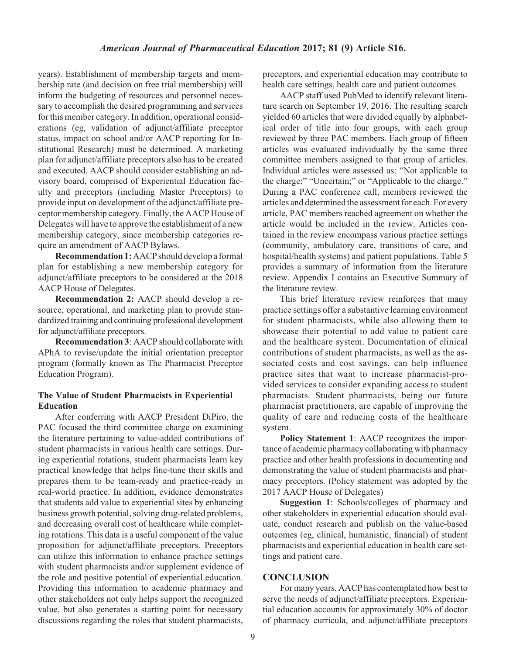years). Establishment of membership targets and membership rate (and decision on free trial membership) will inform the budgeting of resources and personnel necessary to accomplish the desired programming and services for this member category. In addition, operational considerations (eg, validation of adjunct/affiliate preceptor status, impact on school and/or AACP reporting for Institutional Research) must be determined. A marketing plan for adjunct/affiliate preceptors also has to be created and executed. AACP should consider establishing an advisory board, comprised of Experiential Education faculty and preceptors (including Master Preceptors) to provide input on development of the adjunct/affiliate preceptor membership category. Finally, the AACP House of Delegates will have to approve the establishment of a new membership category, since membership categories require an amendment of AACP Bylaws.

Recommendation 1:AACP should develop a formal plan for establishing a new membership category for adjunct/affiliate preceptors to be considered at the 2018 AACP House of Delegates.

Recommendation 2: AACP should develop a resource, operational, and marketing plan to provide standardized training and continuing professional development for adjunct/affiliate preceptors.

Recommendation 3: AACP should collaborate with APhA to revise/update the initial orientation preceptor program (formally known as The Pharmacist Preceptor Education Program).

#### The Value of Student Pharmacists in Experiential Education

After conferring with AACP President DiPiro, the PAC focused the third committee charge on examining the literature pertaining to value-added contributions of student pharmacists in various health care settings. During experiential rotations, student pharmacists learn key practical knowledge that helps fine-tune their skills and prepares them to be team-ready and practice-ready in real-world practice. In addition, evidence demonstrates that students add value to experiential sites by enhancing business growth potential, solving drug-related problems, and decreasing overall cost of healthcare while completing rotations. This data is a useful component of the value proposition for adjunct/affiliate preceptors. Preceptors can utilize this information to enhance practice settings with student pharmacists and/or supplement evidence of the role and positive potential of experiential education. Providing this information to academic pharmacy and other stakeholders not only helps support the recognized value, but also generates a starting point for necessary discussions regarding the roles that student pharmacists,

preceptors, and experiential education may contribute to health care settings, health care and patient outcomes.

AACP staff used PubMed to identify relevant literature search on September 19, 2016. The resulting search yielded 60 articles that were divided equally by alphabetical order of title into four groups, with each group reviewed by three PAC members. Each group of fifteen articles was evaluated individually by the same three committee members assigned to that group of articles. Individual articles were assessed as: "Not applicable to the charge;" "Uncertain;" or "Applicable to the charge." During a PAC conference call, members reviewed the articles and determined the assessment for each. For every article, PAC members reached agreement on whether the article would be included in the review. Articles contained in the review encompass various practice settings (community, ambulatory care, transitions of care, and hospital/health systems) and patient populations. Table 5 provides a summary of information from the literature review. Appendix I contains an Executive Summary of the literature review.

This brief literature review reinforces that many practice settings offer a substantive learning environment for student pharmacists, while also allowing them to showcase their potential to add value to patient care and the healthcare system. Documentation of clinical contributions of student pharmacists, as well as the associated costs and cost savings, can help influence practice sites that want to increase pharmacist-provided services to consider expanding access to student pharmacists. Student pharmacists, being our future pharmacist practitioners, are capable of improving the quality of care and reducing costs of the healthcare system.

Policy Statement 1: AACP recognizes the importance of academic pharmacy collaborating with pharmacy practice and other health professions in documenting and demonstrating the value of student pharmacists and pharmacy preceptors. (Policy statement was adopted by the 2017 AACP House of Delegates)

Suggestion 1: Schools/colleges of pharmacy and other stakeholders in experiential education should evaluate, conduct research and publish on the value-based outcomes (eg, clinical, humanistic, financial) of student pharmacists and experiential education in health care settings and patient care.

#### **CONCLUSION**

For many years, AACP has contemplated how best to serve the needs of adjunct/affiliate preceptors. Experiential education accounts for approximately 30% of doctor of pharmacy curricula, and adjunct/affiliate preceptors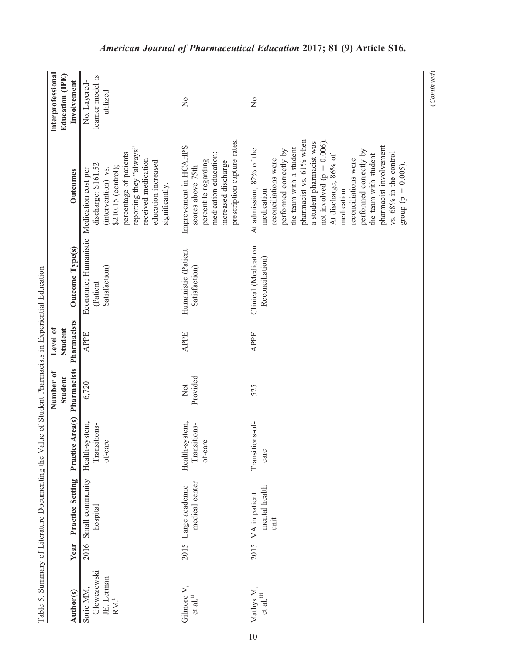| <b>Author(s)</b>                                          | Year Practice Setting                       | Practice Area(s)                          | Pharmacists<br>Number of<br><b>Student</b> | Pharmacists<br>Level of<br><b>Student</b> | Outcome Type(s)                                                      | <b>Outcomes</b>                                                                                                                                                                                                                                                                                                                                                                                           | Interprofessional<br>Education (IPE)<br>Involvement |
|-----------------------------------------------------------|---------------------------------------------|-------------------------------------------|--------------------------------------------|-------------------------------------------|----------------------------------------------------------------------|-----------------------------------------------------------------------------------------------------------------------------------------------------------------------------------------------------------------------------------------------------------------------------------------------------------------------------------------------------------------------------------------------------------|-----------------------------------------------------|
| Glowczewski<br>JE, Lerman<br>Soric MM,<br>RM <sup>1</sup> | 2016 Small community<br>hospital            | Health-system,<br>Transitions-<br>of-care | 6,720                                      | APPE                                      | Economic; Humanistic Medication cost per<br>Satisfaction)<br>Patient | reporting they "always"<br>percentage of patients<br>received medication<br>education increased<br>discharge: \$161.52<br>\$210.15 (control);<br>(intervention) vs.<br>significantly.                                                                                                                                                                                                                     | learner model is<br>No. Layered-<br>utilized        |
| Gilmore $V$ ,<br>et al. <sup>ii</sup>                     | medical center<br>2015 Large academic       | Health-system,<br>Transitions-<br>of-care | Provided<br>Not                            | <b>APPE</b>                               | Humanistic (Patient<br>Satisfaction)                                 | prescription capture rates.<br>Improvement in HCAHPS<br>medication education;<br>percentile regarding<br>increased discharge<br>scores above 75th                                                                                                                                                                                                                                                         | $\overline{\mathsf{X}}$                             |
| Mathys M,<br>et al. $\ddot{ }$                            | mental health<br>2015 VA in patient<br>unit | Transitions-of-<br>care                   | 525                                        | APPE                                      | Clinical (Medication<br>Reconciliation)                              | pharmacist vs. 61% when<br>not involved ( $p = 0.006$ ).<br>a student pharmacist was<br>pharmacist involvement<br>the team with a student<br>At admission, 82% of the<br>performed correctly by<br>performed correctly by<br>vs. 68% in the control<br>the team with student<br>At discharge, 86% of<br>reconciliations were<br>reconciliations were<br>group ( $p = 0.005$ )<br>medication<br>medication | $\frac{1}{2}$                                       |

Table 5. Summary of Literature Documenting the Value of Student Pharmacists in Experiential Education Table 5. Summary of Literature Documenting the Value of Student Pharmacists in Experiential Education

(Continued)

 $(Continued)$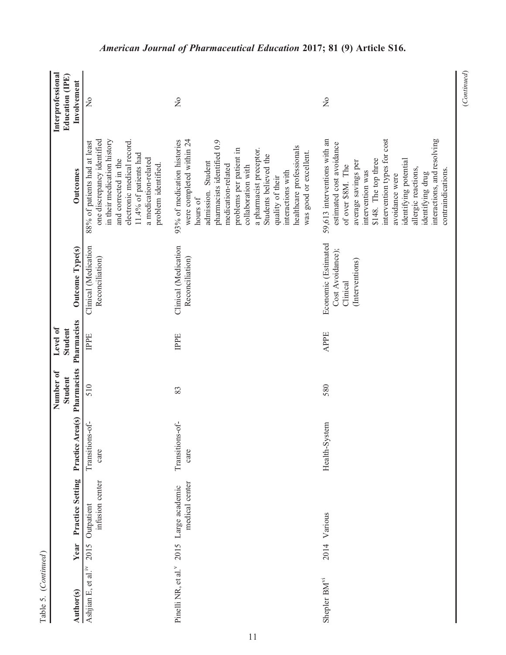| Table 5. (Continued)                                |      |                  |                                 |                                            |                                           |                                                                        |                                                                                                                                                                                                                                                                                                                                                   |                                                            |
|-----------------------------------------------------|------|------------------|---------------------------------|--------------------------------------------|-------------------------------------------|------------------------------------------------------------------------|---------------------------------------------------------------------------------------------------------------------------------------------------------------------------------------------------------------------------------------------------------------------------------------------------------------------------------------------------|------------------------------------------------------------|
| Author(s)                                           | Year | Practice Setting | Practice Area(s)                | Pharmacists<br>Number of<br><b>Student</b> | Pharmacists<br>Level of<br><b>Student</b> | Outcome Type(s)                                                        | Outcomes                                                                                                                                                                                                                                                                                                                                          | Interprofessional<br><b>Education (IPE)</b><br>Involvement |
| Ashjian E, et al. <sup>iv</sup> 2015 Outpatient     |      | infusion center  | Transitions-of-<br>care         | 510                                        | <b>IPPE</b>                               | Clinical (Medication<br>Reconciliation)                                | one discrepancy identified<br>in their medication history<br>electronic medical record.<br>88% of patients had at least<br>11.4% of patients had<br>and corrected in the<br>a medication-related<br>problem identified.                                                                                                                           | $\tilde{Z}$                                                |
| Pinelli NR, et al. <sup>y</sup> 2015 Large academic |      | medical center   | $1S-Of$ -<br>Transition<br>care | 83                                         | IPPE                                      | Clinical (Medication<br>Reconciliation)                                | 93% of medication histories<br>were completed within 24<br>pharmacists identified 0.9<br>healthcare professionals<br>problems per patient in<br>a pharmacist preceptor.<br>was good or excellent.<br>Students believed the<br>admission. Student<br>medication-related<br>collaboration with<br>interactions with<br>quality of their<br>hours of | $\overline{a}$                                             |
| Shepler BM <sup>vi</sup>                            |      | 2014 Various     | stem<br>Health-Sy               | 580                                        | <b>APPE</b>                               | Economic (Estimated<br>Cost Avoidance);<br>(Interventions)<br>Clinical | 59,613 interventions with an<br>intervention types for cost<br>interactions, and resolving<br>estimated cost avoidance<br>\$148. The top three<br>identifying potential<br>average savings per<br>of over \$8M. The<br>allergic reactions,<br>contraindications.<br>intervention was<br>identifying drug<br>avoidance were                        | $\overline{\mathsf{z}}$                                    |

 $(Continued) % \begin{minipage}[b]{0.5\linewidth} \centering \centerline{\includegraphics[width=0.5\linewidth]{images/STM100020.jpg} \centerline{\includegraphics[width=0.5\linewidth]{images/STM100020.jpg} \centerline{\includegraphics[width=0.5\linewidth]{images/STM100020.jpg} \centerline{\includegraphics[width=0.5\linewidth]{images/STM100020.jpg} \centerline{\includegraphics[width=0.5\linewidth]{images/STM100020.jpg} \centerline{\includegraphics[width=0.5\linewidth]{images/STM100020.jpg} \centerline{\includegraphics[width=0.5\linewidth]{images/STM100020.jpg} \centerline{\includegraphics[width$ (Continued)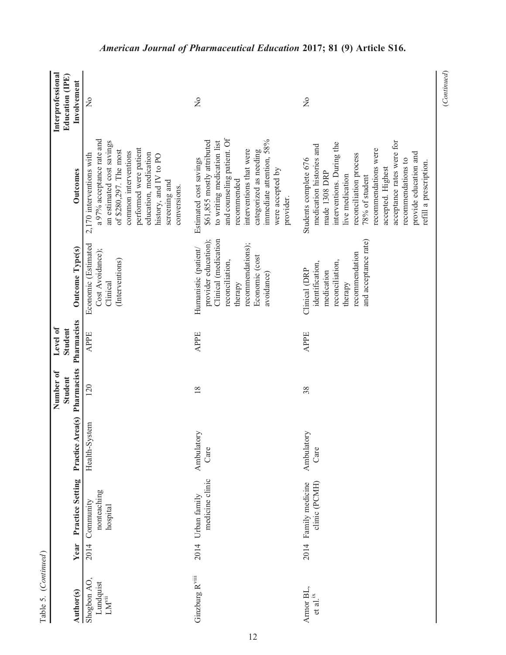| (Continued)<br>Table 5.                         |      |                                       |                    |                             |                     |                                                                                                                                                         |                                                                                                                                                                                                                                                                                                                   |                                             |
|-------------------------------------------------|------|---------------------------------------|--------------------|-----------------------------|---------------------|---------------------------------------------------------------------------------------------------------------------------------------------------------|-------------------------------------------------------------------------------------------------------------------------------------------------------------------------------------------------------------------------------------------------------------------------------------------------------------------|---------------------------------------------|
|                                                 |      |                                       |                    | Number of<br><b>Student</b> | Level of<br>Student |                                                                                                                                                         |                                                                                                                                                                                                                                                                                                                   | Interprofessional<br><b>Education (IPE)</b> |
| Author(s)                                       | Year | <b>Practice Setting</b>               | Practice Area(s)   | Pharmacists                 | Pharmacists         | Outcome Type(s)                                                                                                                                         | <b>Outcomes</b>                                                                                                                                                                                                                                                                                                   | Involvement                                 |
| Shogbon AO,<br>Lundquist<br>${\rm LM}^{\rm vi}$ | 2014 | nonteaching<br>Community<br>hospital  | /stem<br>Health-Sy | 120                         | APPE                | Economic (Estimated<br>Cost Avoidance);<br>(Interventions)<br>Clinical                                                                                  | a 97% acceptance rate and<br>an estimated cost savings<br>performed were patient<br>of \$280,297. The most<br>common interventions<br>education, medication<br>2,170 interventions with<br>history, and IV to PO<br>screening and<br>conversions.                                                                 | $\frac{1}{2}$                               |
| Ginzburg R <sup>viii</sup>                      |      | medicine clinic<br>2014 Urban family  | Ambulatory<br>Care | 18                          | APPE                | Clinical (medication<br>provider education);<br>recommendations);<br>Humanistic (patient/<br>Economic (cost<br>reconciliation,<br>avoidance)<br>therapy | and counseling patient. Of<br>immediate attention, 58%<br>\$61,855 mostly attributed<br>to writing medication list<br>interventions that were<br>categorized as needing<br>Estimated cost savings<br>were accepted by<br>recommended<br>provider.                                                                 | $\frac{1}{2}$                               |
| Armor BL,<br>et al. $^{\mathrm{ix}}$            |      | clinic (PCMH)<br>2014 Family medicine | Ambulatory<br>Care | 38                          | <b>APPE</b>         | and acceptance rate)<br>recommendation<br>reconciliation,<br>identification,<br>Clinical (DRP<br>medication<br>therapy                                  | acceptance rates were for<br>interventions. During the<br>medication histories and<br>recommendations were<br>provide education and<br>reconciliation process<br>Students complete 676<br>recommendations to<br>refill a prescription.<br>accepted. Highest<br>made 1308 DRP<br>live medication<br>78% of student | $\overline{a}$                              |

(Continued)

 $\label{eq:continued} (Continued)$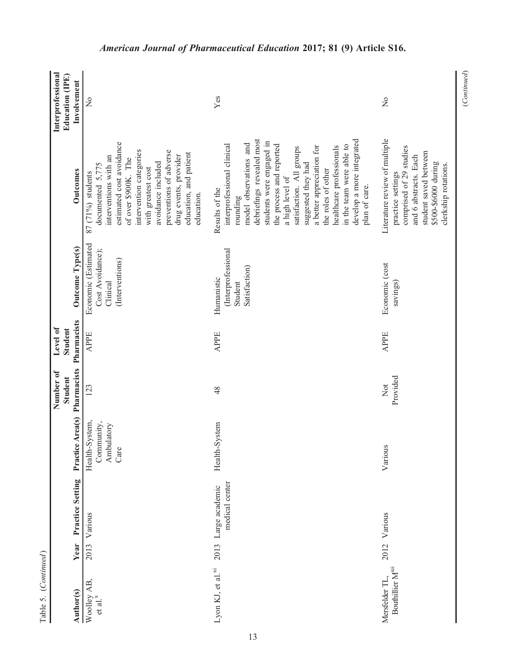| Table 5. (Continued)                           |      |                                       |                                                    |                                            |                                           |                                                                        |                                                                                                                                                                                                                                                                                                                                                                                                       |                                                            |
|------------------------------------------------|------|---------------------------------------|----------------------------------------------------|--------------------------------------------|-------------------------------------------|------------------------------------------------------------------------|-------------------------------------------------------------------------------------------------------------------------------------------------------------------------------------------------------------------------------------------------------------------------------------------------------------------------------------------------------------------------------------------------------|------------------------------------------------------------|
| Author(s)                                      | Year | Practice Setting                      | Practice Area(s)                                   | Pharmacists<br>Number of<br><b>Student</b> | Pharmacists<br>Level of<br><b>Student</b> | Outcome Type(s)                                                        | Outcomes                                                                                                                                                                                                                                                                                                                                                                                              | Interprofessional<br><b>Education (IPE)</b><br>Involvement |
| Woolley AB,<br>et al. $^{x}$                   |      | 2013 Various                          | Health-System,<br>Community,<br>Ambulatory<br>Care | 123                                        | APPE                                      | Economic (Estimated<br>Cost Avoidance);<br>(Interventions)<br>Clinical | estimated cost avoidance<br>intervention categories<br>preventions of adverse<br>education, and patient<br>drug events, provider<br>interventions with an<br>of over \$900K. The<br>avoidance included<br>documented 5,775<br>with greatest cost<br>87 (71%) students<br>education.                                                                                                                   | $\tilde{Z}$                                                |
| ${\rm Lyon\; KJ, \, et\; al.}^{\rm xi}$        |      | medical center<br>2013 Large academic | Health-System                                      | $\frac{8}{3}$                              | APPE                                      | <b>Interprofessional</b><br>Satisfaction)<br>Humanistic<br>Student     | debriefings revealed most<br>develop a more integrated<br>students were engaged in<br>model observations and<br>the process and reported<br>interprofessional clinical<br>in the team were able to<br>a better appreciation for<br>healthcare professionals<br>satisfaction. All groups<br>suggested they had<br>the roles of other<br>a high level of<br>plan of care.<br>Results of the<br>rounding | Yes                                                        |
| Bouthillier M <sup>xii</sup><br>Mersfelder TL, |      | 2012 Various                          | Various                                            | Provided<br>Not                            | <b>APPE</b>                               | Economic (cost<br>savings)                                             | Literature review of multiple<br>comprised of 29 studies<br>student saved between<br>and 6 abstracts. Each<br>\$500-\$6000 during<br>clerkship rotations.<br>practice settings                                                                                                                                                                                                                        | $\overline{a}$                                             |

(Continued)

 $(Continued) % \begin{minipage}[b]{0.5\linewidth} \centering \centerline{\includegraphics[width=0.5\linewidth]{images/STM100020.jpg} \centerline{\includegraphics[width=0.5\linewidth]{images/STM100020.jpg} \centerline{\includegraphics[width=0.5\linewidth]{images/STM100020.jpg} \centerline{\includegraphics[width=0.5\linewidth]{images/STM100020.jpg} \centerline{\includegraphics[width=0.5\linewidth]{images/STM100020.jpg} \centerline{\includegraphics[width=0.5\linewidth]{images/STM100020.jpg} \centerline{\includegraphics[width=0.5\linewidth]{images/STM100020.jpg} \centerline{\includegraphics[width$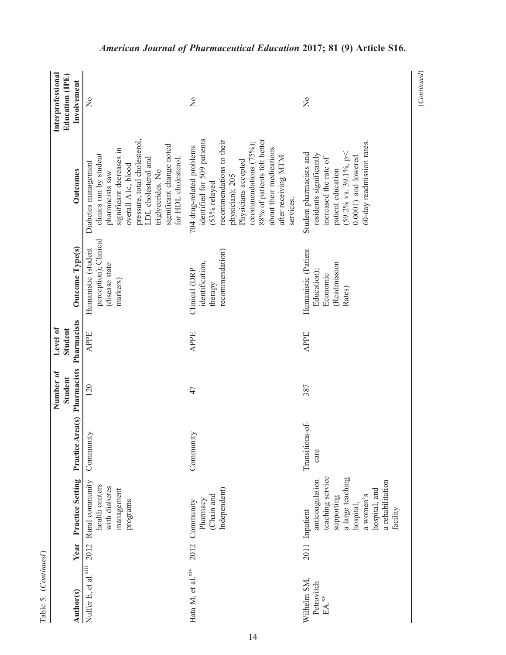| Interprofessional<br><b>Education (IPE)</b> | Involvement      | $\tilde{z}$                                                                                                                                                                                                                                        | $\overline{\mathsf{z}}$                                                                                                                                                                                                                                                   | $\overline{a}$                                                                                                                                                                  |
|---------------------------------------------|------------------|----------------------------------------------------------------------------------------------------------------------------------------------------------------------------------------------------------------------------------------------------|---------------------------------------------------------------------------------------------------------------------------------------------------------------------------------------------------------------------------------------------------------------------------|---------------------------------------------------------------------------------------------------------------------------------------------------------------------------------|
|                                             | Outcomes         | pressure, total cholesterol,<br>significant change noted<br>significant decreases in<br>clinics run by student<br>for HDL cholesterol.<br>LDL cholesterol and<br>Diabetes management<br>overall A1c, blood<br>triglycerides. No<br>pharmacists saw | identified for 509 patients<br>88% of patients felt better<br>recommendations to their<br>recommendations $(75%)$ ;<br>704 drug-related problems<br>about their medications<br>after receiving MTM<br>Physicians accepted<br>physician); 205<br>(53% relayed<br>services. | 60-day readmission rates.<br>$(59.2\%$ vs. 39.1%, p<<br>Student pharmacists and<br>residents significantly<br>0.0001) and lowered<br>increased the rate of<br>patient education |
|                                             | Outcome Type(s)  | perception); Clinical<br>Humanistic (student<br>disease state<br>markers)                                                                                                                                                                          | recommendation)<br>identification,<br>Clinical (DRP<br>therapy                                                                                                                                                                                                            | Humanistic (Patient<br><b>Readmission</b><br>Education);<br>Economic<br>Rates)                                                                                                  |
| Level of<br>Student                         | Pharmacists      | APPE                                                                                                                                                                                                                                               | <b>APPE</b>                                                                                                                                                                                                                                                               | <b>APPE</b>                                                                                                                                                                     |
| Number of<br><b>Student</b>                 | Pharmacists      | 120                                                                                                                                                                                                                                                | 47                                                                                                                                                                                                                                                                        | 387                                                                                                                                                                             |
|                                             | Practice Area(s) | Community                                                                                                                                                                                                                                          | Community                                                                                                                                                                                                                                                                 | Transitions-of-<br>care                                                                                                                                                         |
|                                             | Practice Setting | health centers<br>with diabetes<br>management<br>programs                                                                                                                                                                                          | Independent)<br>Chain and<br>Pharmacy<br>2012 Community                                                                                                                                                                                                                   | teaching service<br>a large teaching<br>anticoagulation<br>a rehabilitation<br>hospital, and<br>a women's<br>supporting<br>hospital,<br>facility<br>Inpatient                   |
|                                             | Year             |                                                                                                                                                                                                                                                    |                                                                                                                                                                                                                                                                           | 2011                                                                                                                                                                            |
|                                             | Author(s)        | Nuffer E, et al. <sup>xiii</sup> 2012 Rural community                                                                                                                                                                                              | Hata M, et al. $^{\mathrm{xiv}}$                                                                                                                                                                                                                                          | Wilhelm SM,<br>Petrovitch<br>$\mathbf{EA}^{\mathbf{xv}}$                                                                                                                        |

(Continued)

 $(Continued)$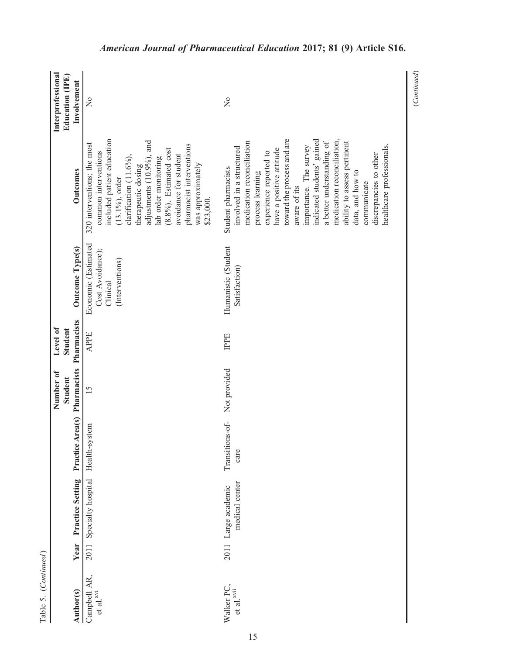|                      | Interprofessional<br><b>Education (IPE)</b> | Involvement             | $\frac{1}{2}$                                                                                                                                                                                                                                                                                                                    | $\overline{\mathsf{X}}$                                                                                                                                                                                                                                                                                                                                                                                                                          | (Continued) |
|----------------------|---------------------------------------------|-------------------------|----------------------------------------------------------------------------------------------------------------------------------------------------------------------------------------------------------------------------------------------------------------------------------------------------------------------------------|--------------------------------------------------------------------------------------------------------------------------------------------------------------------------------------------------------------------------------------------------------------------------------------------------------------------------------------------------------------------------------------------------------------------------------------------------|-------------|
|                      |                                             | Outcomes                | included patient education<br>adjustments (10.9%), and<br>320 interventions; the most<br>pharmacist interventions<br>(8.8%). Estimated cost<br>common interventions<br>avoidance for student<br>clarification $(11.6\%)$ ,<br>lab order monitoring<br>was approximately<br>therapeutic dosing<br>$(13.1\%)$ , order<br>\$23,000. | indicated students' gained<br>medication reconciliation,<br>toward the process and are<br>a better understanding of<br>ability to assess pertinent<br>medication reconciliation<br>importance. The survey<br>healthcare professionals.<br>involved in a structured<br>have a positive attitude<br>experience reported to<br>discrepancies to other<br>Student pharmacists<br>data, and how to<br>process learning<br>communicate<br>aware of its |             |
|                      |                                             | Outcome Type(s)         | Economic (Estimated<br>Cost Avoidance);<br>(Interventions)<br>Clinical                                                                                                                                                                                                                                                           | Humanistic (Student<br>Satisfaction)                                                                                                                                                                                                                                                                                                                                                                                                             |             |
|                      | Level of<br>Student                         | Pharmacists             | <b>APPE</b>                                                                                                                                                                                                                                                                                                                      | <b>IPPE</b>                                                                                                                                                                                                                                                                                                                                                                                                                                      |             |
|                      | Number of<br>Student                        | Pharmacists             | 15                                                                                                                                                                                                                                                                                                                               | Not provided                                                                                                                                                                                                                                                                                                                                                                                                                                     |             |
|                      |                                             | Practice Area(s)        | Health-system                                                                                                                                                                                                                                                                                                                    | Transitions-of-<br>care                                                                                                                                                                                                                                                                                                                                                                                                                          |             |
|                      |                                             | <b>Practice Setting</b> | 2011 Specialty hospital                                                                                                                                                                                                                                                                                                          | medical center<br>2011 Large academic                                                                                                                                                                                                                                                                                                                                                                                                            |             |
|                      |                                             | Year                    |                                                                                                                                                                                                                                                                                                                                  |                                                                                                                                                                                                                                                                                                                                                                                                                                                  |             |
| Table 5. (Continued) |                                             | Author(s)               | Campbell AR,<br>$et$ al. $\boldsymbol{^{xvi}}$                                                                                                                                                                                                                                                                                   | Walker PC,<br>$et$ al. $x$ <sup>vii</sup>                                                                                                                                                                                                                                                                                                                                                                                                        |             |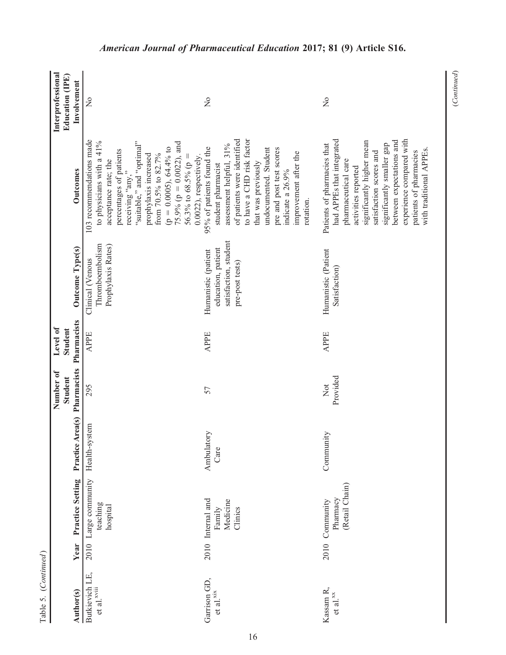|                |      |                                                    |                    | Number of<br>Student | Level of<br><b>Student</b> |                                                                                       |                                                                                                                                                                                                                                                                                                                          | Interprofessional<br><b>Education (IPE)</b> |
|----------------|------|----------------------------------------------------|--------------------|----------------------|----------------------------|---------------------------------------------------------------------------------------|--------------------------------------------------------------------------------------------------------------------------------------------------------------------------------------------------------------------------------------------------------------------------------------------------------------------------|---------------------------------------------|
|                | Year | <b>Practice Setting</b>                            | Practice Area(s)   | Pharmacists          | Pharmacists                | Outcome Type(s)                                                                       | <b>Outcomes</b>                                                                                                                                                                                                                                                                                                          | Involvement                                 |
| Butkievich LE, |      | 2010 Large community<br>teaching<br>hospital       | stem<br>Health-sy  | 295                  | <b>APPE</b>                | Thromboembolism<br>Prophylaxis Rates)<br>Clinical (Venous                             | 103 recommendations made<br>to physicians with a 41%<br>receiving "any,"<br>"suitable," and "optimal"<br>75.9% ( $p = 0.0022$ ), and<br>$(p = 0.0005)$ , 64.4% to<br>percentages of patients<br>from 70.5% to 82.7%<br>prophylaxis increased<br>0.0022), respectively.<br>56.3% to 68.5% ( $p =$<br>acceptance rate; the | $\frac{1}{2}$                               |
| Garrison GD,   |      | 2010 Internal and<br>Medicine<br>Family<br>Clinics | Ambulatory<br>Care | 57                   | <b>APPE</b>                | satisfaction, student<br>education, patient<br>Humanistic (patient<br>pre-post tests) | of patients were identified<br>to have a CHD risk factor<br>assessment helpful, 31%<br>95% of patients found the<br>undocumented. Student<br>pre and post test scores<br>improvement after the<br>that was previously<br>student pharmacist<br>indicate a 26.9%<br>rotation.                                             | $\mathsf{S}^{\mathsf{O}}$                   |
|                |      | (Retail Chain)<br>Pharmacy<br>2010 Community       | Community          | Provided<br>Not      | APPE                       | Humanistic (Patient<br>Satisfaction)                                                  | had APPEs that integrated<br>experience compared with<br>significantly higher mean<br>between expectations and<br>Patients of pharmacies that<br>significantly smaller gap<br>with traditional APPEs.<br>satisfaction scores and<br>patients of pharmacies<br>pharmaceutical care<br>activities reported                 | $\overline{\mathsf{z}}$                     |

(Continued)

 $(Continued) % \begin{minipage}[b]{0.5\linewidth} \centering \centerline{\includegraphics[width=0.5\linewidth]{images/STM100020.jpg} \centerline{\includegraphics[width=0.5\linewidth]{images/STM100020.jpg} \centerline{\includegraphics[width=0.5\linewidth]{images/STM100020.jpg} \centerline{\includegraphics[width=0.5\linewidth]{images/STM100020.jpg} \centerline{\includegraphics[width=0.5\linewidth]{images/STM100020.jpg} \centerline{\includegraphics[width=0.5\linewidth]{images/STM100020.jpg} \centerline{\includegraphics[width=0.5\linewidth]{images/STM100020.jpg} \centerline{\includegraphics[width$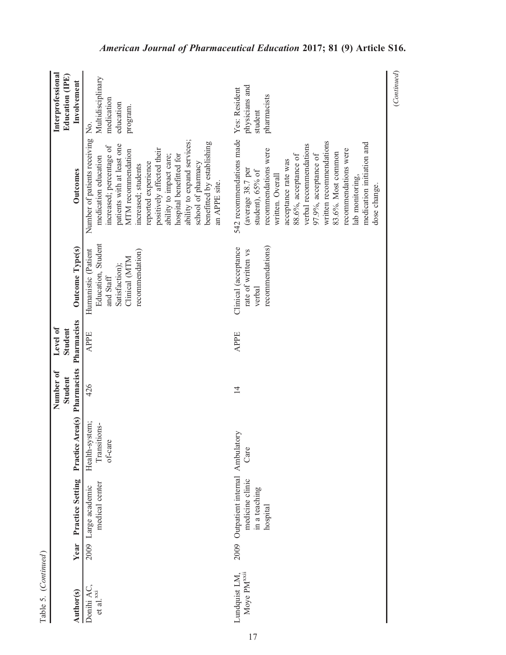| Table 5. (Continued)                      |      |                                                                                |                                           |                                            |                                           |                                                                                                              |                                                                                                                                                                                                                                                                                                                                                                           |                                                                 |
|-------------------------------------------|------|--------------------------------------------------------------------------------|-------------------------------------------|--------------------------------------------|-------------------------------------------|--------------------------------------------------------------------------------------------------------------|---------------------------------------------------------------------------------------------------------------------------------------------------------------------------------------------------------------------------------------------------------------------------------------------------------------------------------------------------------------------------|-----------------------------------------------------------------|
| Author(s)                                 | Year | Practice Setting                                                               | Practice Area(s)                          | Pharmacists<br>Number of<br><b>Student</b> | Pharmacists<br>Level of<br><b>Student</b> | Outcome Type(s)                                                                                              | Outcomes                                                                                                                                                                                                                                                                                                                                                                  | Interprofessional<br>Education (IPE)<br>Involvement             |
| Donihi AC,<br>${\it et}$ al. $^{\rm xxi}$ |      | medical center<br>2009 Large academic                                          | Health-system;<br>Transitions-<br>of-care | 426                                        | <b>APPE</b>                               | Education, Student<br>Humanistic (Patient<br>recommendation)<br>Clinical (MTM<br>Satisfaction);<br>and Staff | Number of patients receiving<br>ability to expand services;<br>benefitted by establishing<br>patients with at least one<br>increased; percentage of<br>positively affected their<br>MTM recommendation<br>hospital benefitted for<br>ability to impact care;<br>medication education<br>reported experience<br>school of pharmacy<br>increased; students<br>an APPE site. | Multidisciplinary<br>medication<br>education<br>program.<br>Σó, |
| Lundquist LM,<br>Moye PM <sup>xxii</sup>  | 2009 | Outpatient internal Ambulatory<br>medicine clinic<br>in a teaching<br>hospital | Care                                      | $\overline{4}$                             | <b>APPE</b>                               | recommendations)<br>Clinical (acceptance<br>rate of written vs<br>verbal                                     | 542 recommendations made<br>written recommendations<br>medication initiation and<br>verbal recommendations<br>recommendations were<br>recommendations were<br>83.6%. Most common<br>88.6%, acceptance of<br>97.9%, acceptance of<br>acceptance rate was<br>(average 38.7 per<br>student), 65% of<br>written. Overall<br>lab monitoring.<br>dose change.                   | physicians and<br>Yes: Resident<br>pharmacists<br>student       |
|                                           |      |                                                                                |                                           |                                            |                                           |                                                                                                              |                                                                                                                                                                                                                                                                                                                                                                           | (Continued)                                                     |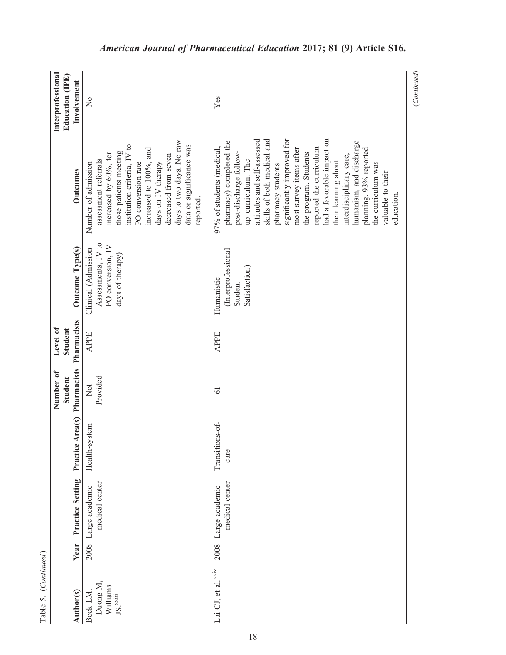|                      | Interprofessional<br>Education (IPE) | Involvement<br>$\frac{1}{2}$                                                                                                                                                                                                                                                                     | Yes                                                                                                                                                                                                                                                                                                                                                                                                                                                                                               | (Continued) |
|----------------------|--------------------------------------|--------------------------------------------------------------------------------------------------------------------------------------------------------------------------------------------------------------------------------------------------------------------------------------------------|---------------------------------------------------------------------------------------------------------------------------------------------------------------------------------------------------------------------------------------------------------------------------------------------------------------------------------------------------------------------------------------------------------------------------------------------------------------------------------------------------|-------------|
|                      | Outcomes                             | days to two days. No raw<br>institution criteria, IV to<br>data or significance was<br>increased to 100%, and<br>those patients meeting<br>increased by 60%, for<br>decreased from seven<br>assessment referrals<br>PO conversion rate<br>days on IV therapy<br>Number of admission<br>reported. | significantly improved for<br>attitudes and self-assessed<br>skills of both medical and<br>had a favorable impact on<br>humanism, and discharge<br>pharmacy) completed the<br>97% of students (medical,<br>most survey items after<br>planning. 93% reported<br>reported the curriculum<br>post-discharge follow-<br>the program. Students<br>interdisciplinary care,<br>up curriculum. The<br>their learning about<br>the curriculum was<br>pharmacy students<br>valuable to their<br>education. |             |
|                      |                                      | Assessments, IV to<br>PO conversion, IV<br>Outcome Type(s)<br>Clinical (Admission<br>days of therapy)                                                                                                                                                                                            | (Interprofessional<br>Satisfaction)<br>Humanistic<br>Student                                                                                                                                                                                                                                                                                                                                                                                                                                      |             |
|                      | Level of<br>Student                  | Pharmacists<br>APPE                                                                                                                                                                                                                                                                              | APPE                                                                                                                                                                                                                                                                                                                                                                                                                                                                                              |             |
|                      | Number of<br>Student                 | Pharmacists<br>Provided<br>$\overline{X}$                                                                                                                                                                                                                                                        | $\overline{6}$                                                                                                                                                                                                                                                                                                                                                                                                                                                                                    |             |
|                      |                                      | Practice Area(s)<br>Health-system                                                                                                                                                                                                                                                                | Transitions-of-<br>care                                                                                                                                                                                                                                                                                                                                                                                                                                                                           |             |
|                      | <b>Practice Setting</b>              | medical center<br>2008 Large academic                                                                                                                                                                                                                                                            | medical center<br>2008 Large academic                                                                                                                                                                                                                                                                                                                                                                                                                                                             |             |
|                      | Year                                 |                                                                                                                                                                                                                                                                                                  |                                                                                                                                                                                                                                                                                                                                                                                                                                                                                                   |             |
| Table 5. (Continued) |                                      | Duong M,<br>Williams<br>Bock LM,<br>Author(s)<br>$JS.$ $\,$                                                                                                                                                                                                                                      | Lai CJ, et al. <sup>xxiv</sup>                                                                                                                                                                                                                                                                                                                                                                                                                                                                    |             |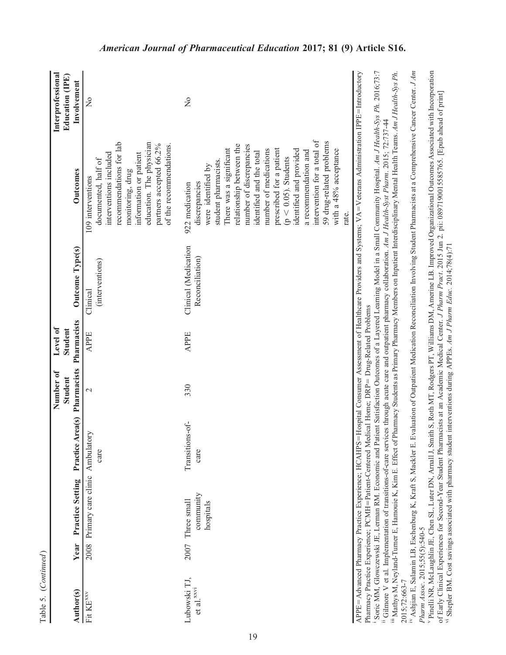| Table 5. (Continued)                           |      |                                                                                                                                                                                                                            |                         |                                            |                                           |                                                                                                                                    |                                                                                                                                                                                                                                                                                                                                                                                                                                                                                                                                                                                                                                                                                                                                                                                                                                                                                                                                                                                             |                                                            |
|------------------------------------------------|------|----------------------------------------------------------------------------------------------------------------------------------------------------------------------------------------------------------------------------|-------------------------|--------------------------------------------|-------------------------------------------|------------------------------------------------------------------------------------------------------------------------------------|---------------------------------------------------------------------------------------------------------------------------------------------------------------------------------------------------------------------------------------------------------------------------------------------------------------------------------------------------------------------------------------------------------------------------------------------------------------------------------------------------------------------------------------------------------------------------------------------------------------------------------------------------------------------------------------------------------------------------------------------------------------------------------------------------------------------------------------------------------------------------------------------------------------------------------------------------------------------------------------------|------------------------------------------------------------|
| Author(s)                                      | Year | <b>Practice Setting</b>                                                                                                                                                                                                    | Practice Area(s)        | Pharmacists<br>Number of<br><b>Student</b> | Pharmacists<br>Level of<br><b>Student</b> | Outcome Type(s)                                                                                                                    | Outcomes                                                                                                                                                                                                                                                                                                                                                                                                                                                                                                                                                                                                                                                                                                                                                                                                                                                                                                                                                                                    | Interprofessional<br><b>Education (IPE)</b><br>Involvement |
| Fit KE <sup>xxv</sup>                          |      | 2008 Primary care clinic Ambulatory                                                                                                                                                                                        | care                    | $\mathcal{L}$                              | APPE                                      | (interventions)<br>Clinical                                                                                                        | recommendations for lab<br>education. The physician<br>partners accepted 66.2%<br>of the recommendations.<br>interventions included<br>information or patient<br>documented, half of<br>monitoring, drug<br>109 interventions                                                                                                                                                                                                                                                                                                                                                                                                                                                                                                                                                                                                                                                                                                                                                               | $\frac{1}{2}$                                              |
| Lubowski TJ,<br>et al. <sup>xxvi</sup>         | 2007 | community<br>Three small<br>hospitals                                                                                                                                                                                      | Transitions-of-<br>care | 330                                        | APPE                                      | Clinical (Medication<br>Reconciliation)                                                                                            | intervention for a total of<br>59 drug-related problems<br>relationship between the<br>number of discrepancies<br>prescribed for a patient<br>There was a significant<br>number of medications<br>identified and provided<br>with a 48% acceptance<br>a recommendation and<br>identified and the total<br>$(p < 0.05)$ . Students<br>student pharmacists.<br>were identified by<br>discrepancies<br>922 medication<br>rate.                                                                                                                                                                                                                                                                                                                                                                                                                                                                                                                                                                 | $\overline{R}$                                             |
| Pharm Assoc. 2015;55(5):540-5<br>2015;72:663-7 |      | Pharmacy Practice Experience; PCMH=Patient-Centered Medical Home; DRP= Drug-Related Problems<br>APPE=Advanced Pharmacy Practice Experience; HCAHPS<br>$^{\rm iv}$ Ashjian E, Salamin LB, Eschenburg K, Kraft S, Mackler E. |                         |                                            |                                           |                                                                                                                                    | $=$ Hospital Consumer Assessment of Healthcare Providers and Systems; $VA = V$ eterans Administration IPPE=Introductory<br><sup>1</sup> Soric MM, Glowczewski JE, Lerman RM. Economic and Patient Satisfaction Outcomes of a Layered Learning Model in a Small Community Hospital. Am J Health-Sys Ph. 2016;73:7<br>iii Mathys M, Neyland-Turner E, Hamouie K, Kim E. Effect of Pharmacy Students as Primary Pharmacy Members on Inpatient Interdisciplinary Mental Health Teams. Am J Health-Sys Ph.<br>Evaluation of Outpatient Medication Reconciliation Involving Student Pharmacists at a Comprehensive Cancer Center. J Am<br>Y Pinelli NR, McLaughlin JE, Chen SL, Luter DN, Arnall J, Smith S, Roth MT, Rodgers PT, Williams DM, Amerine LB. Improved Organizational Outcomes Associated with Incorporation<br>ii Gilmore V et al. Implementation of transitions-of-care services through acute care and outpatient pharmacy collaboration. Am J Health-Syst Pharm. 2015; 72:737-44 |                                                            |
|                                                |      |                                                                                                                                                                                                                            |                         |                                            |                                           | <sup>vi</sup> Shepler BM. Cost savings associated with pharmacy student interventions during APPEs. Am J Pharm Educ. 2014;78(4):71 | of Early Clinical Experiences for Second-Year Student Pharmacists at an Academic Medical Center. J Pharm Pract. 2015 Jun 2. pii: 08971900155885765. [Epub ahead of print]                                                                                                                                                                                                                                                                                                                                                                                                                                                                                                                                                                                                                                                                                                                                                                                                                   |                                                            |

### American Journal of Pharmaceutical Education 2017; 81 (9) Article S16.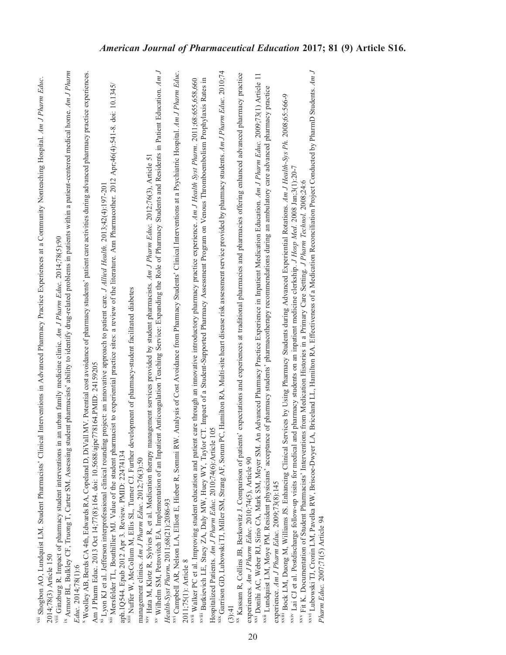| ļ                                                                    |                                                                                                  |
|----------------------------------------------------------------------|--------------------------------------------------------------------------------------------------|
|                                                                      |                                                                                                  |
|                                                                      |                                                                                                  |
|                                                                      |                                                                                                  |
| l<br>q<br>$\sim$                                                     |                                                                                                  |
| $\ddotsc$<br>י<br>ווידו<br>Ĩ                                         |                                                                                                  |
| 7<br>C4.<br>$\overline{M}$ $\overline{M}$<br>ּוֹנוּ<br>יוֹ<br>š<br>) | $\frac{1}{1}$<br>$\ddot{\phantom{0}}$<br>$\sim$ $\sim$ $\sim$ $\sim$ $\sim$ $\sim$ $\sim$ $\sim$ |
| י<br>נ<br>li∪E<br>۲<br>با<br>₿                                       | $\vdots$                                                                                         |

ix Armor BL, Bulkley CF, Truong T, Carter SM. Assessing student pharmacists' ability to identify drug-related problems in patients within a patient-centered medical home. Am J Pharm <sup>ix</sup> Armor BL, Bulkley CF, Truong T, Carter SM. Assessing student pharmacists' ability to identify drug-related problems in patients within a patient-centered medical home. Am J Pharm viii Ginzburg R. Impact of pharmacy student interventions in an urban family medicine clinic. Am J Pharm Educ. 2014;78(5):90 v<sup>iii</sup> Ginzburg R. Impact of pharmacy student interventions in an urban family medicine clinic. Am J Pharm Educ. 2014;78(5):90

Educ. 2014;78(1):6<br><sup>x</sup> Woolley AB, Berds CA 4th, Edwards RA, Copeland D, DiVall MV. Potential cost avoidance of pharmacy students' patient care activities during advanced pharmacy practice experiences. K Woolley AB, Berds CA 4th, Edwards RA, Copeland D, DiVall MV. Potential cost avoidance of pharmacy students' patient care activities during advanced pharmacy practice experiences Educ. 2014:78(1):6

ii Lyon KJ et al. Jefferson interprofessional clinical rounding project: an innovative approach to patient care. J Allied Health. 2013;42(4):197-201 xi Lyon KJ et al. Jefferson interprofessional clinical rounding project: an innovative approach to patient care. J Allied Health. 2013;42(4):197-201 Am J Pharm Educ. 2013 Oct 14;77(8):164. doi: 10.5688/ajpe778164.PMID: 24159205 Am J Pharm Educ. 2013 Oct 14;77(8):164. doi: 10.5688/ajpe778164.PMID: 24159205

xii Mersfelder TL, Bouthillier MJ. Value of the student pharmacist to experiential practice sites: a review of the literature. Ann Pharmacother. 2012 Apr;46(4):541-8. doi: 10.1345/ <sup>xii</sup> Mersfelder TL, Bouthillier MJ. Value of the student pharmacist to experiential practice sites: a review of the literature. Ann Pharmacother. 2012 Apr;46(4):541-8. doi: 10.1345/ aph.1Q544. Epub 2012 Apr 3. Review. PMID: 22474134

aph.1Q544. Epub 2012 Apr 3. Review. PMID: 22474134<br><sup>xiii</sup> Nuffer W, McCollum M, Ellis SL, Tumer CJ. Further development of pharmacy-student facilitated diabetes xiii Nuffer W, McCollum M, Ellis SL, Turner CJ. Further development of pharmacy-student facilitated diabetes

management clinics. Am J Pharm Educ. 2012;76(3):50 management clinics. Am J Pharm Educ. 2012;76(3):50

xiv Hata M, Klotz R, Sylvies R, et al. Medication therapy management services provided by student pharmacists. Am J Pharm Educ. 2012;76(3), Article 51 xiv Hata M, Klotz R, Sylvies R, et al. Medication therapy management services provided by student pharmacists. Am J Pharm Educ. 2012;76(3), Article 51

<sup>xv</sup> Wilhelm SM, Petrovitch EA. Implementation of an Inpatient Anticoagulation Teaching Service: Expanding the Role of Pharmacy Students and Residents in Patient Education. Am J <sup>xv</sup> Wilhelm SM, Petrovitch EA. Implementation of an Inpatient Anticoagulation Teaching Service: Expanding the Role of Pharmacy Students and Residents in Patient Education. Am Health-Syst Pharm. 2011;68(21):2086-93 Health-Syst Pharm. 2011;68(21):2086-93

xvi Campbell AR, Nelson LA, Elliott E, Hieber R, Sommi RW. Analysis of Cost Avoidance from Pharmacy Students' Clinical Interventions at a Psychiatric Hospital. Am J Pharm Educ. <sup>xvi</sup> Campbell AR, Nelson LA, Elliott E, Hieber R, Sommi RW. Analysis of Cost Avoidance from Pharmacy Students' Clinical Interventions at a Psychiatric Hospital. Am J Pharm Educ. 2011;75(1): Article 8 2011;75(1): Article 8

xviii Butkievich LE, Stacy ZA, Daly MW, Huey WY, Taylor CT. Impact of a Student-Supported Pharmacy Assessment Program on Venous Thromboembolism Prophylaxis Rates in wii Walker PC et al. Improving student education and patient care through an innovative introductory pharmacy practice experience. Am J Health Syst Pharm. 2011;68:655,658,660 xviii Butkievich LE, Stacy ZA, Daly MW, Huey WY, Taylor CT. Impact of a Student-Supported Pharmacy Assessment Program on Venous Thromboembolism Prophylaxis Rates in <sup>xvii</sup> Walker PC et al. Improving student education and patient care through an innovative introductory pharmacy practice experience. Am J Health Syst Pharm. 2011;68:655,658,660 Hospitalized Patients. Am J Pharm Educ. 2010;74(6):Article 105 Hospitalized Patients. Am J Pharm Educ. 2010;74(6):Article 105

xix Garrison GD, Lubowski TJ, Miller SM, Strang AF, Sorum PC, Hamilton RA. Multi-site heart disease risk assessment service provided by pharmacy students. Am J Pharm Educ. 2010;74 <sup>xix</sup> Garrison GD, Lubowski TJ, Miller SM, Strang AF, Sorum PC, Hamilton RA. Multi-site heart disease risk assessment service provided by pharmacy students. Am J Pharm Educ. 2010;74 (3):41

<sup>xx</sup> Kassam R, Collins JB, Berkowitz J. Comparison of patients' expectations and experiences at traditional pharmacies and pharmacies offering enhanced advanced pharmacy practice xx Kassam R, Collins JB, Berkowitz J. Comparison of patients' expectations and experiences at traditional pharmacies and pharmacies offering enhanced advanced pharmacy practice experiences. Am J Pharm Educ. 2010;74(5), Article 90 experiences. Am J Pharm Educ. 2010;74(5), Article 90

xxi Donihi AC, Weber RJ, Sirio CA, Mark SM, Meyer SM. An Advanced Pharmacy Practice Experience in Inpatient Medication Education. Am J Pharm Educ. 2009;73(1) Article 11 <sup>xxi</sup> Donihi AC, Weber RJ, Sirio CA, Mark SM, Meyer SM. An Advanced Pharmacy Practice Experience in Inpatient Medication Education. Am J Pharm Educ. 2009;73(1) Article 11 xxii Lundquist LM, Moye PM. Resident physicians' acceptance of pharmacy students' pharmacotherapy recommendations during an ambulatory care advanced pharmacy practice xxii Lundquist LM, Moye PM. Resident physicians' acceptance of pharmacy students' pharmacotherapy recommendations during an ambulatory care advanced pharmacy practice experience. Am J Pharm Educ. 2009;73(8):145 experience. Am J Pharm Educ. 2009;73(8):145

<sup>xxiii</sup> Bock LM, Duong M, Williams JS. Enhancing Clinical Services by Using Pharmacy Students during Advanced Experiential Rotations. Am J Health-Sys Ph. 2008;65:566-9 xxiii Bock LM, Duong M, Williams JS. Enhancing Clinical Services by Using Pharmacy Students during Advanced Experiential Rotations. Am J Health-Sys Ph. 2008;65:566-9 xxiv Lai CJ et al. Postdischarge follow-up visits for medical and pharmacy students on an inpatient medicine clerkship. J Hosp Med. 2008 Jan;3(1):20-7 xxviv Lai CJ et al. Postdischarge follow-up visits for medical and pharmacy students on an inpatient medicine clerkship. J Hosp Med. 2008 Jan;3(1):20-7

exy Fit K. Documentation of Student Pharmacists' Interventions from Medication Histories in a Primary Care Setting. J Pharm Technol. 2008;24:6 xxv Fit K. Documentation of Student Pharmacists' Interventions from Medication Histories in a Primary Care Setting. J Pharm Technol. 2008;24:6

Kaxvi Lubowski TJ, Cronin LM, Pavelka RW, Briscoe-Dwyer LA, Briceland LL, Hamilton RA. Effectiveness of a Medication Reconciliation Project Conducted by PharmD Students. Am J xxvi Lubowski TJ, Cronin LM, Pavelka RW, Briscoe-Dwyer LA, Briceland LL, Hamilton RA. Effectiveness of a Medication Reconciliation Project Conducted by PharmD Students. Am J Pharm Educ. 2007;71(5) Article 94 Pharm Educ. 2007;71(5) Article 94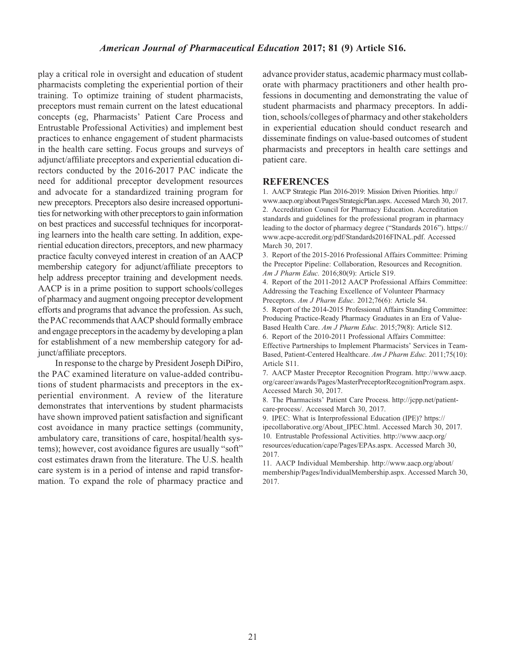play a critical role in oversight and education of student pharmacists completing the experiential portion of their training. To optimize training of student pharmacists, preceptors must remain current on the latest educational concepts (eg, Pharmacists' Patient Care Process and Entrustable Professional Activities) and implement best practices to enhance engagement of student pharmacists in the health care setting. Focus groups and surveys of adjunct/affiliate preceptors and experiential education directors conducted by the 2016-2017 PAC indicate the need for additional preceptor development resources and advocate for a standardized training program for new preceptors. Preceptors also desire increased opportunities for networking with other preceptors to gain information on best practices and successful techniques for incorporating learners into the health care setting. In addition, experiential education directors, preceptors, and new pharmacy practice faculty conveyed interest in creation of an AACP membership category for adjunct/affiliate preceptors to help address preceptor training and development needs. AACP is in a prime position to support schools/colleges of pharmacy and augment ongoing preceptor development efforts and programs that advance the profession. As such, the PAC recommends that AACP should formally embrace and engage preceptors inthe academy by developing a plan for establishment of a new membership category for adjunct/affiliate preceptors.

In response to the charge by President Joseph DiPiro, the PAC examined literature on value-added contributions of student pharmacists and preceptors in the experiential environment. A review of the literature demonstrates that interventions by student pharmacists have shown improved patient satisfaction and significant cost avoidance in many practice settings (community, ambulatory care, transitions of care, hospital/health systems); however, cost avoidance figures are usually "soft" cost estimates drawn from the literature. The U.S. health care system is in a period of intense and rapid transformation. To expand the role of pharmacy practice and advance provider status, academic pharmacy must collaborate with pharmacy practitioners and other health professions in documenting and demonstrating the value of student pharmacists and pharmacy preceptors. In addition, schools/colleges of pharmacy and other stakeholders in experiential education should conduct research and disseminate findings on value-based outcomes of student pharmacists and preceptors in health care settings and patient care.

#### **REFERENCES**

1. AACP Strategic Plan 2016-2019: Mission Driven Priorities. [http://](http://www.aacp.org/about/Pages/StrategicPlan.aspx) [www.aacp.org/about/Pages/StrategicPlan.aspx](http://www.aacp.org/about/Pages/StrategicPlan.aspx). Accessed March 30, 2017. 2. Accreditation Council for Pharmacy Education. Accreditation standards and guidelines for the professional program in pharmacy leading to the doctor of pharmacy degree ("Standards 2016"). [https://](https://www.acpe-accredit.org/pdf/Standards2016FINAL.pdf) [www.acpe-accredit.org/pdf/Standards2016FINAL.pdf.](https://www.acpe-accredit.org/pdf/Standards2016FINAL.pdf) Accessed March 30, 2017.

3. Report of the 2015-2016 Professional Affairs Committee: Priming the Preceptor Pipeline: Collaboration, Resources and Recognition. Am J Pharm Educ. 2016;80(9): Article S19.

4. Report of the 2011-2012 AACP Professional Affairs Committee: Addressing the Teaching Excellence of Volunteer Pharmacy Preceptors. Am J Pharm Educ. 2012;76(6): Article S4.

5. Report of the 2014-2015 Professional Affairs Standing Committee: Producing Practice-Ready Pharmacy Graduates in an Era of Value-Based Health Care. Am J Pharm Educ. 2015;79(8): Article S12.

6. Report of the 2010-2011 Professional Affairs Committee: Effective Partnerships to Implement Pharmacists' Services in Team-Based, Patient-Centered Healthcare. Am J Pharm Educ. 2011;75(10): Article S11.

7. AACP Master Preceptor Recognition Program. [http://www.aacp.](http://www.aacp.org/career/awards/Pages/MasterPreceptorRecognitionProgram.aspx) [org/career/awards/Pages/MasterPreceptorRecognitionProgram.aspx](http://www.aacp.org/career/awards/Pages/MasterPreceptorRecognitionProgram.aspx). Accessed March 30, 2017.

8. The Pharmacists' Patient Care Process. [http://jcpp.net/patient](http://jcpp.net/patient-care-process/)[care-process/](http://jcpp.net/patient-care-process/). Accessed March 30, 2017.

9. IPEC: What is Interprofessional Education (IPE)? [https://](https://ipecollaborative.org/About_IPEC.html) [ipecollaborative.org/About\\_IPEC.html.](https://ipecollaborative.org/About_IPEC.html) Accessed March 30, 2017. 10. Entrustable Professional Activities. [http://www.aacp.org/](http://www.aacp.org/resources/education/cape/Pages/EPAs.aspx) [resources/education/cape/Pages/EPAs.aspx](http://www.aacp.org/resources/education/cape/Pages/EPAs.aspx). Accessed March 30, 2017.

11. AACP Individual Membership. [http://www.aacp.org/about/](http://www.aacp.org/about/membership/Pages/IndividualMembership.aspx) [membership/Pages/IndividualMembership.aspx](http://www.aacp.org/about/membership/Pages/IndividualMembership.aspx). Accessed March 30, 2017.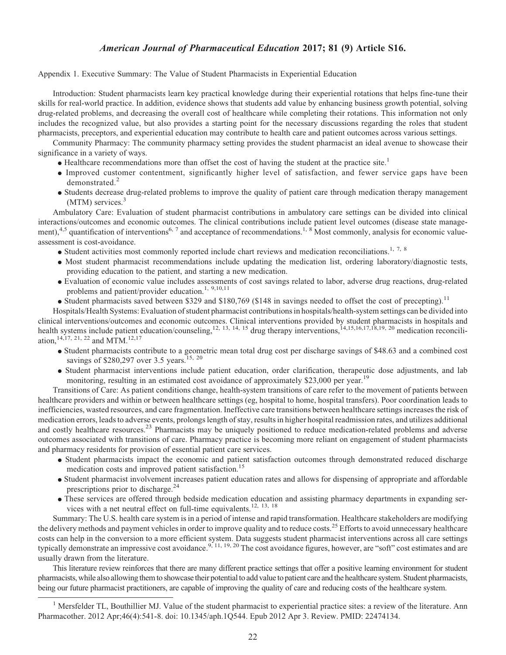Appendix 1. Executive Summary: The Value of Student Pharmacists in Experiential Education

Introduction: Student pharmacists learn key practical knowledge during their experiential rotations that helps fine-tune their skills for real-world practice. In addition, evidence shows that students add value by enhancing business growth potential, solving drug-related problems, and decreasing the overall cost of healthcare while completing their rotations. This information not only includes the recognized value, but also provides a starting point for the necessary discussions regarding the roles that student pharmacists, preceptors, and experiential education may contribute to health care and patient outcomes across various settings.

Community Pharmacy: The community pharmacy setting provides the student pharmacist an ideal avenue to showcase their significance in a variety of ways.

- Healthcare recommendations more than offset the cost of having the student at the practice site.<sup>1</sup>
- <sup>d</sup> Improved customer contentment, significantly higher level of satisfaction, and fewer service gaps have been demonstrated.<sup>2</sup>
- Students decrease drug-related problems to improve the quality of patient care through medication therapy management (MTM) services.<sup>3</sup>

Ambulatory Care: Evaluation of student pharmacist contributions in ambulatory care settings can be divided into clinical interactions/outcomes and economic outcomes. The clinical contributions include patient level outcomes (disease state management),<sup>4,5</sup> quantification of interventions<sup>6, 7</sup> and acceptance of recommendations.<sup>1, 8</sup> Most commonly, analysis for economic valueassessment is cost-avoidance.

- $\bullet$  Student activities most commonly reported include chart reviews and medication reconciliations.<sup>1, 7, 8</sup>
- <sup>d</sup> Most student pharmacist recommendations include updating the medication list, ordering laboratory/diagnostic tests, providing education to the patient, and starting a new medication.
- <sup>d</sup> Evaluation of economic value includes assessments of cost savings related to labor, adverse drug reactions, drug-related problems and patient/provider education.<sup>1, 9,10,11</sup>
- Student pharmacists saved between \$329 and \$180,769 (\$148 in savings needed to offset the cost of precepting).<sup>11</sup>

Hospitals/Health Systems: Evaluation of student pharmacist contributions in hospitals/health-system settings can be divided into clinical interventions/outcomes and economic outcomes. Clinical interventions provided by student pharmacists in hospitals and health systems include patient education/counseling,<sup>12, 13, 14, 15</sup> drug therapy interventions,<sup>14,15,16,17,18,19, 20</sup> medication reconciliation,  $^{14,17,21,22}$  and MTM.<sup>12,17</sup>

- <sup>d</sup> Student pharmacists contribute to a geometric mean total drug cost per discharge savings of \$48.63 and a combined cost savings of \$280,297 over 3.5 years.<sup>15, 20</sup>
- <sup>d</sup> Student pharmacist interventions include patient education, order clarification, therapeutic dose adjustments, and lab monitoring, resulting in an estimated cost avoidance of approximately \$23,000 per year.<sup>19</sup>

Transitions of Care: As patient conditions change, health-system transitions of care refer to the movement of patients between healthcare providers and within or between healthcare settings (eg, hospital to home, hospital transfers). Poor coordination leads to inefficiencies, wasted resources, and care fragmentation. Ineffective care transitions between healthcare settings increases the risk of medication errors, leads to adverse events, prolongs length of stay, results in higher hospital readmission rates, and utilizes additional and costly healthcare resources.<sup>23</sup> Pharmacists may be uniquely positioned to reduce medication-related problems and adverse outcomes associated with transitions of care. Pharmacy practice is becoming more reliant on engagement of student pharmacists and pharmacy residents for provision of essential patient care services.

- <sup>d</sup> Student pharmacists impact the economic and patient satisfaction outcomes through demonstrated reduced discharge medication costs and improved patient satisfaction.<sup>15</sup>
- <sup>d</sup> Student pharmacist involvement increases patient education rates and allows for dispensing of appropriate and affordable prescriptions prior to discharge. $24$
- <sup>d</sup> These services are offered through bedside medication education and assisting pharmacy departments in expanding services with a net neutral effect on full-time equivalents.<sup>12, 13, 18</sup>

Summary: The U.S. health care system is in a period of intense and rapid transformation. Healthcare stakeholders are modifying the delivery methods and payment vehicles in order to improve quality and to reduce costs.<sup>25</sup> Efforts to avoid unnecessary healthcare costs can help in the conversion to a more efficient system. Data suggests student pharmacist interventions across all care settings typically demonstrate an impressive cost avoidance.<sup>9, 11, 19, 20</sup> The cost avoidance figures, however, are "soft" cost estimates and are usually drawn from the literature.

This literature review reinforces that there are many different practice settings that offer a positive learning environment for student pharmacists, while also allowing them to showcase their potential to add value to patient care and the healthcare system. Student pharmacists, being our future pharmacist practitioners, are capable of improving the quality of care and reducing costs of the healthcare system.

<sup>&</sup>lt;sup>1</sup> Mersfelder TL, Bouthillier MJ. Value of the student pharmacist to experiential practice sites: a review of the literature. Ann Pharmacother. 2012 Apr;46(4):541-8. doi: 10.1345/aph.1Q544. Epub 2012 Apr 3. Review. PMID: 22474134.